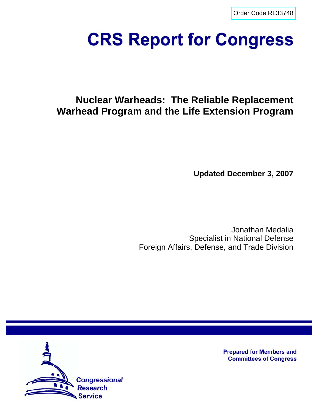[Order Code RL33748](http://www.fas.org/sgp/crs/nuke/index.html)

# **CRS Report for Congress**

# **Nuclear Warheads: The Reliable Replacement Warhead Program and the Life Extension Program**

**Updated December 3, 2007**

Jonathan Medalia Specialist in National Defense Foreign Affairs, Defense, and Trade Division



**Prepared for Members and Committees of Congress**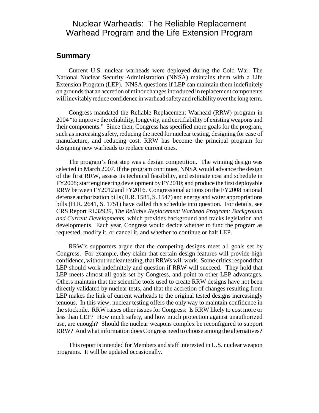## Nuclear Warheads: The Reliable Replacement Warhead Program and the Life Extension Program

## **Summary**

Current U.S. nuclear warheads were deployed during the Cold War. The National Nuclear Security Administration (NNSA) maintains them with a Life Extension Program (LEP). NNSA questions if LEP can maintain them indefinitely on grounds that an accretion of minor changes introduced in replacement components will inevitably reduce confidence in warhead safety and reliability over the long term.

Congress mandated the Reliable Replacement Warhead (RRW) program in 2004 "to improve the reliability, longevity, and certifiability of existing weapons and their components." Since then, Congress has specified more goals for the program, such as increasing safety, reducing the need for nuclear testing, designing for ease of manufacture, and reducing cost. RRW has become the principal program for designing new warheads to replace current ones.

The program's first step was a design competition. The winning design was selected in March 2007. If the program continues, NNSA would advance the design of the first RRW, assess its technical feasibility, and estimate cost and schedule in FY2008; start engineering development by FY2010; and produce the first deployable RRW between FY2012 and FY2016. Congressional actions on the FY2008 national defense authorization bills (H.R. 1585, S. 1547) and energy and water appropriations bills (H.R. 2641, S. 1751) have called this schedule into question. For details, see CRS Report RL32929, *The Reliable Replacement Warhead Program: Background and Current Developments,* which provides background and tracks legislation and developments. Each year, Congress would decide whether to fund the program as requested, modify it, or cancel it, and whether to continue or halt LEP.

RRW's supporters argue that the competing designs meet all goals set by Congress. For example, they claim that certain design features will provide high confidence, without nuclear testing, that RRWs will work. Some critics respond that LEP should work indefinitely and question if RRW will succeed. They hold that LEP meets almost all goals set by Congress, and point to other LEP advantages. Others maintain that the scientific tools used to create RRW designs have not been directly validated by nuclear tests, and that the accretion of changes resulting from LEP makes the link of current warheads to the original tested designs increasingly tenuous. In this view, nuclear testing offers the only way to maintain confidence in the stockpile. RRW raises other issues for Congress: Is RRW likely to cost more or less than LEP? How much safety, and how much protection against unauthorized use, are enough? Should the nuclear weapons complex be reconfigured to support RRW? And what information does Congress need to choose among the alternatives?

This report is intended for Members and staff interested in U.S. nuclear weapon programs. It will be updated occasionally.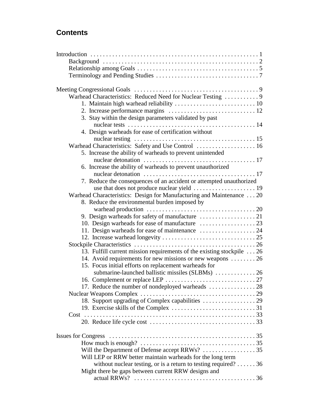## **Contents**

| Warhead Characteristics: Reduced Need for Nuclear Testing  9              |  |
|---------------------------------------------------------------------------|--|
|                                                                           |  |
|                                                                           |  |
| 3. Stay within the design parameters validated by past                    |  |
|                                                                           |  |
| 4. Design warheads for ease of certification without                      |  |
|                                                                           |  |
| Warhead Characteristics: Safety and Use Control  16                       |  |
| 5. Increase the ability of warheads to prevent unintended                 |  |
|                                                                           |  |
| 6. Increase the ability of warheads to prevent unauthorized               |  |
|                                                                           |  |
| 7. Reduce the consequences of an accident or attempted unauthorized       |  |
|                                                                           |  |
| Warhead Characteristics: Design for Manufacturing and Maintenance  20     |  |
| 8. Reduce the environmental burden imposed by                             |  |
|                                                                           |  |
|                                                                           |  |
| 11. Design warheads for ease of maintenance  24                           |  |
|                                                                           |  |
|                                                                           |  |
| 13. Fulfill current mission requirements of the existing stockpile 26     |  |
| 14. Avoid requirements for new missions or new weapons  26                |  |
| 15. Focus initial efforts on replacement warheads for                     |  |
|                                                                           |  |
|                                                                           |  |
| 17. Reduce the number of nondeployed warheads  28                         |  |
| <b>Nuclear Weapons Complex</b>                                            |  |
|                                                                           |  |
|                                                                           |  |
|                                                                           |  |
|                                                                           |  |
|                                                                           |  |
|                                                                           |  |
| Will the Department of Defense accept RRWs?  35                           |  |
| Will LEP or RRW better maintain warheads for the long term                |  |
| without nuclear testing, or is a return to testing required? $\dots$ . 36 |  |
| Might there be gaps between current RRW designs and                       |  |
|                                                                           |  |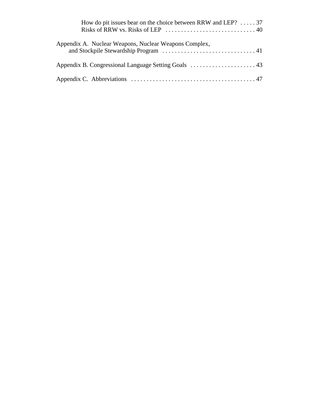| How do pit issues bear on the choice between RRW and LEP? $\dots$ 37<br>Risks of RRW vs. Risks of LEP $\ldots \ldots \ldots \ldots \ldots \ldots \ldots \ldots \ldots$ |
|------------------------------------------------------------------------------------------------------------------------------------------------------------------------|
| Appendix A. Nuclear Weapons, Nuclear Weapons Complex,                                                                                                                  |
|                                                                                                                                                                        |
|                                                                                                                                                                        |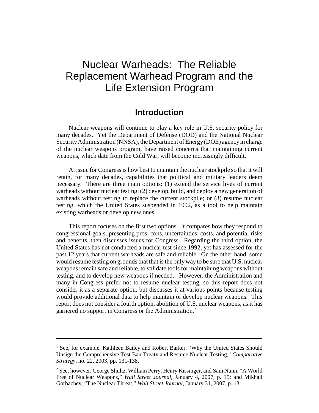## Nuclear Warheads: The Reliable Replacement Warhead Program and the Life Extension Program

## **Introduction**

Nuclear weapons will continue to play a key role in U.S. security policy for many decades. Yet the Department of Defense (DOD) and the National Nuclear Security Administration (NNSA), the Department of Energy (DOE) agency in charge of the nuclear weapons program, have raised concerns that maintaining current weapons, which date from the Cold War, will become increasingly difficult.

At issue for Congress is how best to maintain the nuclear stockpile so that it will retain, for many decades, capabilities that political and military leaders deem necessary. There are three main options: (1) extend the service lives of current warheads without nuclear testing; (2) develop, build, and deploy a new generation of warheads without testing to replace the current stockpile; or  $(3)$  resume nuclear testing, which the United States suspended in 1992, as a tool to help maintain existing warheads or develop new ones.

This report focuses on the first two options. It compares how they respond to congressional goals, presenting pros, cons, uncertainties, costs, and potential risks and benefits, then discusses issues for Congress. Regarding the third option, the United States has not conducted a nuclear test since 1992, yet has assessed for the past 12 years that current warheads are safe and reliable. On the other hand, some would resume testing on grounds that that is the only way to be sure that U.S. nuclear weapons remain safe and reliable, to validate tools for maintaining weapons without testing, and to develop new weapons if needed.<sup>1</sup> However, the Administration and many in Congress prefer not to resume nuclear testing, so this report does not consider it as a separate option, but discusses it at various points because testing would provide additional data to help maintain or develop nuclear weapons. This report does not consider a fourth option, abolition of U.S. nuclear weapons, as it has garnered no support in Congress or the Administration.<sup>2</sup>

<sup>&</sup>lt;sup>1</sup> See, for example, Kathleen Bailey and Robert Barker, "Why the United States Should Unsign the Comprehensive Test Ban Treaty and Resume Nuclear Testing," *Comparative Strategy,* no. 22, 2003, pp. 131-138.

<sup>&</sup>lt;sup>2</sup> See, however, George Shultz, William Perry, Henry Kissinger, and Sam Nunn, "A World Free of Nuclear Weapons," *Wall Street Journal,* January 4, 2007, p. 15; and Mikhail Gorbachev, "The Nuclear Threat," *Wall Street Journal,* January 31, 2007, p. 13.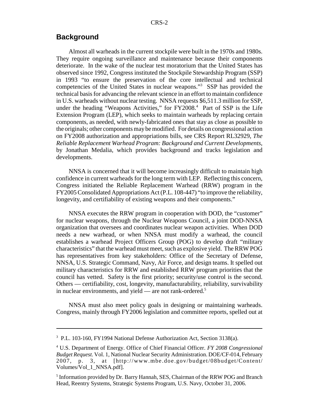## **Background**

Almost all warheads in the current stockpile were built in the 1970s and 1980s. They require ongoing surveillance and maintenance because their components deteriorate. In the wake of the nuclear test moratorium that the United States has observed since 1992, Congress instituted the Stockpile Stewardship Program (SSP) in 1993 "to ensure the preservation of the core intellectual and technical competencies of the United States in nuclear weapons."3 SSP has provided the technical basis for advancing the relevant science in an effort to maintain confidence in U.S. warheads without nuclear testing. NNSA requests \$6,511.3 million for SSP, under the heading "Weapons Activities," for FY2008.<sup>4</sup> Part of SSP is the Life Extension Program (LEP), which seeks to maintain warheads by replacing certain components, as needed, with newly-fabricated ones that stay as close as possible to the originals; other components may be modified. For details on congressional action on FY2008 authorization and appropriations bills, see CRS Report RL32929, *The Reliable Replacement Warhead Program: Background and Current Developments,* by Jonathan Medalia, which provides background and tracks legislation and developments.

NNSA is concerned that it will become increasingly difficult to maintain high confidence in current warheads for the long term with LEP. Reflecting this concern, Congress initiated the Reliable Replacement Warhead (RRW) program in the FY2005 Consolidated Appropriations Act (P.L. 108-447) "to improve the reliability, longevity, and certifiability of existing weapons and their components."

NNSA executes the RRW program in cooperation with DOD, the "customer" for nuclear weapons, through the Nuclear Weapons Council, a joint DOD-NNSA organization that oversees and coordinates nuclear weapon activities. When DOD needs a new warhead, or when NNSA must modify a warhead, the council establishes a warhead Project Officers Group (POG) to develop draft "military characteristics" that the warhead must meet, such as explosive yield. The RRW POG has representatives from key stakeholders: Office of the Secretary of Defense, NNSA, U.S. Strategic Command, Navy, Air Force, and design teams. It spelled out military characteristics for RRW and established RRW program priorities that the council has vetted. Safety is the first priority; security/use control is the second. Others — certifiability, cost, longevity, manufacturability, reliability, survivability in nuclear environments, and yield — are not rank-ordered.<sup>5</sup>

NNSA must also meet policy goals in designing or maintaining warheads. Congress, mainly through FY2006 legislation and committee reports, spelled out at

<sup>3</sup> P.L. 103-160, FY1994 National Defense Authorization Act, Section 3138(a).

<sup>4</sup> U.S. Department of Energy. Office of Chief Financial Officer. *FY 2008 Congressional Budget Request.* Vol. 1, National Nuclear Security Administration. DOE/CF-014, February 2007, p. 3, at [http://www.mbe.doe.gov/budget/08budget/Content/ Volumes/Vol\_1\_NNSA.pdf].

<sup>&</sup>lt;sup>5</sup> Information provided by Dr. Barry Hannah, SES, Chairman of the RRW POG and Branch Head, Reentry Systems, Strategic Systems Program, U.S. Navy, October 31, 2006.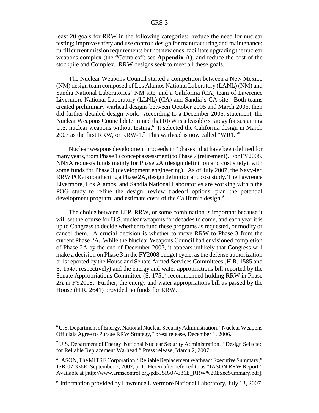least 20 goals for RRW in the following categories: reduce the need for nuclear testing; improve safety and use control; design for manufacturing and maintenance; fulfill current mission requirements but not new ones; facilitate upgrading the nuclear weapons complex (the "Complex"; see **Appendix A**); and reduce the cost of the stockpile and Complex. RRW designs seek to meet all these goals.

The Nuclear Weapons Council started a competition between a New Mexico (NM) design team composed of Los Alamos National Laboratory (LANL) (NM) and Sandia National Laboratories' NM site, and a California (CA) team of Lawrence Livermore National Laboratory (LLNL) (CA) and Sandia's CA site. Both teams created preliminary warhead designs between October 2005 and March 2006, then did further detailed design work. According to a December 2006, statement, the Nuclear Weapons Council determined that RRW is a feasible strategy for sustaining U.S. nuclear weapons without testing.<sup>6</sup> It selected the California design in March 2007 as the first RRW, or RRW-1.<sup>7</sup> This warhead is now called "WR1."<sup>8</sup>

Nuclear weapons development proceeds in "phases" that have been defined for many years, from Phase 1 (concept assessment) to Phase 7 (retirement). For FY2008, NNSA requests funds mainly for Phase 2A (design definition and cost study), with some funds for Phase 3 (development engineering). As of July 2007, the Navy-led RRW POG is conducting a Phase 2A, design definition and cost study. The Lawrence Livermore, Los Alamos, and Sandia National Laboratories are working within the POG study to refine the design, review tradeoff options, plan the potential development program, and estimate costs of the California design.<sup>9</sup>

The choice between LEP, RRW, or some combination is important because it will set the course for U.S. nuclear weapons for decades to come, and each year it is up to Congress to decide whether to fund these programs as requested, or modify or cancel them. A crucial decision is whether to move RRW to Phase 3 from the current Phase 2A. While the Nuclear Weapons Council had envisioned completion of Phase 2A by the end of December 2007, it appears unlikely that Congress will make a decision on Phase 3 in the FY2008 budget cycle, as the defense authorization bills reported by the House and Senate Armed Services Committees (H.R. 1585 and S. 1547, respectively) and the energy and water appropriations bill reported by the Senate Appropriations Committee (S. 1751) recommended holding RRW in Phase 2A in FY2008. Further, the energy and water appropriations bill as passed by the House (H.R. 2641) provided no funds for RRW.

<sup>&</sup>lt;sup>6</sup>U.S. Department of Energy. National Nuclear Security Administration. "Nuclear Weapons Officials Agree to Pursue RRW Strategy," press release, December 1, 2006.

<sup>&</sup>lt;sup>7</sup> U.S. Department of Energy. National Nuclear Security Administration. "Design Selected for Reliable Replacement Warhead." Press release, March 2, 2007.

<sup>&</sup>lt;sup>8</sup> JASON, The MITRE Corporation, "Reliable Replacement Warhead: Executive Summary," JSR-07-336E, September 7, 2007, p. 1. Hereinafter referred to as "JASON RRW Report." Available at [http://www.armscontrol.org/pdf/JSR-07-336E\_RRW%20ExecSummary.pdf].

<sup>9</sup> Information provided by Lawrence Livermore National Laboratory, July 13, 2007.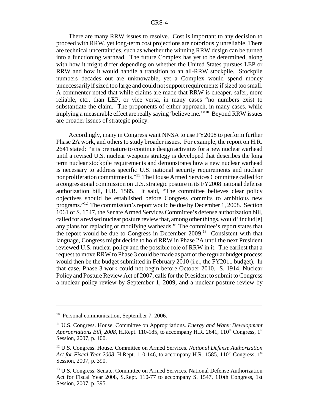There are many RRW issues to resolve. Cost is important to any decision to proceed with RRW, yet long-term cost projections are notoriously unreliable. There are technical uncertainties, such as whether the winning RRW design can be turned into a functioning warhead. The future Complex has yet to be determined, along with how it might differ depending on whether the United States pursues LEP or RRW and how it would handle a transition to an all-RRW stockpile. Stockpile numbers decades out are unknowable, yet a Complex would spend money unnecessarily if sized too large and could not support requirements if sized too small. A commenter noted that while claims are made that RRW is cheaper, safer, more reliable, etc., than LEP, or vice versa, in many cases "no numbers exist to substantiate the claim. The proponents of either approach, in many cases, while implying a measurable effect are really saying 'believe me.'"10 Beyond RRW issues are broader issues of strategic policy.

Accordingly, many in Congress want NNSA to use FY2008 to perform further Phase 2A work, and others to study broader issues. For example, the report on H.R. 2641 stated: "it is premature to continue design activities for a new nuclear warhead until a revised U.S. nuclear weapons strategy is developed that describes the long term nuclear stockpile requirements and demonstrates how a new nuclear warhead is necessary to address specific U.S. national security requirements and nuclear nonproliferation commitments."11 The House Armed Services Committee called for a congressional commission on U.S. strategic posture in its FY2008 national defense authorization bill, H.R. 1585. It said, "The committee believes clear policy objectives should be established before Congress commits to ambitious new programs."12 The commission's report would be due by December 1, 2008. Section 1061 of S. 1547, the Senate Armed Services Committee's defense authorization bill, called for a revised nuclear posture review that, among other things, would "includ[e] any plans for replacing or modifying warheads." The committee's report states that the report would be due to Congress in December  $2009$ <sup>13</sup> Consistent with that language, Congress might decide to hold RRW in Phase 2A until the next President reviewed U.S. nuclear policy and the possible role of RRW in it. The earliest that a request to move RRW to Phase 3 could be made as part of the regular budget process would then be the budget submitted in February 2010 (i.e., the FY2011 budget). In that case, Phase 3 work could not begin before October 2010. S. 1914, Nuclear Policy and Posture Review Act of 2007, calls for the President to submit to Congress a nuclear policy review by September 1, 2009, and a nuclear posture review by

<sup>&</sup>lt;sup>10</sup> Personal communication, September 7, 2006.

<sup>11</sup> U.S. Congress. House. Committee on Appropriations. *Energy and Water Development Appropriations Bill, 2008, H.Rept.* 110-185, to accompany H.R. 2641, 110<sup>th</sup> Congress, 1<sup>st</sup> Session, 2007, p. 100.

<sup>12</sup> U.S. Congress. House. Committee on Armed Services. *National Defense Authorization Act for Fiscal Year 2008,* H.Rept. 110-146, to accompany H.R. 1585, 110<sup>th</sup> Congress, 1<sup>st</sup> Session, 2007, p. 390.

<sup>&</sup>lt;sup>13</sup> U.S. Congress. Senate. Committee on Armed Services. National Defense Authorization Act for Fiscal Year 2008, S.Rept. 110-77 to accompany S. 1547, 110th Congress, 1st Session, 2007, p. 395.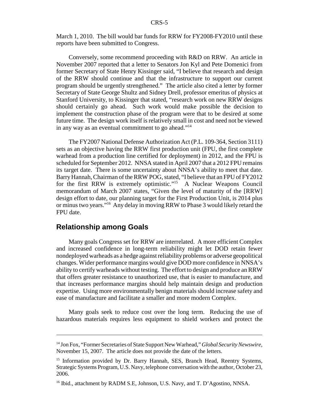March 1, 2010. The bill would bar funds for RRW for FY2008-FY2010 until these reports have been submitted to Congress.

Conversely, some recommend proceeding with R&D on RRW. An article in November 2007 reported that a letter to Senators Jon Kyl and Pete Domenici from former Secretary of State Henry Kissinger said, "I believe that research and design of the RRW should continue and that the infrastructure to support our current program should be urgently strengthened." The article also cited a letter by former Secretary of State George Shultz and Sidney Drell, professor emeritus of physics at Stanford University, to Kissinger that stated, "research work on new RRW designs should certainly go ahead. Such work would make possible the decision to implement the construction phase of the program were that to be desired at some future time. The design work itself is relatively small in cost and need not be viewed in any way as an eventual commitment to go ahead."14

The FY2007 National Defense Authorization Act (P.L. 109-364, Section 3111) sets as an objective having the RRW first production unit (FPU, the first complete warhead from a production line certified for deployment) in 2012, and the FPU is scheduled for September 2012. NNSA stated in April 2007 that a 2012 FPU remains its target date. There is some uncertainty about NNSA's ability to meet that date. Barry Hannah, Chairman of the RRW POG, stated, "I believe that an FPU of FY2012 for the first RRW is extremely optimistic."15 A Nuclear Weapons Council memorandum of March 2007 states, "Given the level of maturity of the [RRW] design effort to date, our planning target for the First Production Unit, is 2014 plus or minus two years."16 Any delay in moving RRW to Phase 3 would likely retard the FPU date.

## **Relationship among Goals**

Many goals Congress set for RRW are interrelated. A more efficient Complex and increased confidence in long-term reliability might let DOD retain fewer nondeployed warheads as a hedge against reliability problems or adverse geopolitical changes. Wider performance margins would give DOD more confidence in NNSA's ability to certify warheads without testing. The effort to design and produce an RRW that offers greater resistance to unauthorized use, that is easier to manufacture, and that increases performance margins should help maintain design and production expertise. Using more environmentally benign materials should increase safety and ease of manufacture and facilitate a smaller and more modern Complex.

Many goals seek to reduce cost over the long term. Reducing the use of hazardous materials requires less equipment to shield workers and protect the

<sup>14</sup> Jon Fox, "Former Secretaries of State Support New Warhead," *Global Security Newswire,* November 15, 2007. The article does not provide the date of the letters.

<sup>&</sup>lt;sup>15</sup> Information provided by Dr. Barry Hannah, SES, Branch Head, Reentry Systems, Strategic Systems Program, U.S. Navy, telephone conversation with the author, October 23, 2006.

<sup>&</sup>lt;sup>16</sup> Ibid., attachment by RADM S.E, Johnson, U.S. Navy, and T. D'Agostino, NNSA.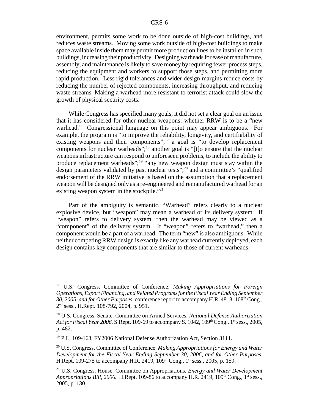environment, permits some work to be done outside of high-cost buildings, and reduces waste streams. Moving some work outside of high-cost buildings to make space available inside them may permit more production lines to be installed in such buildings, increasing their productivity. Designing warheads for ease of manufacture, assembly, and maintenance is likely to save money by requiring fewer process steps, reducing the equipment and workers to support those steps, and permitting more rapid production. Less rigid tolerances and wider design margins reduce costs by reducing the number of rejected components, increasing throughput, and reducing waste streams. Making a warhead more resistant to terrorist attack could slow the growth of physical security costs.

While Congress has specified many goals, it did not set a clear goal on an issue that it has considered for other nuclear weapons: whether RRW is to be a "new warhead." Congressional language on this point may appear ambiguous. For example, the program is "to improve the reliability, longevity, and certifiability of existing weapons and their components";<sup>17</sup> a goal is "to develop replacement components for nuclear warheads";<sup>18</sup> another goal is "[t]o ensure that the nuclear weapons infrastructure can respond to unforeseen problems, to include the ability to produce replacement warheads";<sup>19</sup> "any new weapon design must stay within the design parameters validated by past nuclear tests";<sup>20</sup> and a committee's "qualified" endorsement of the RRW initiative is based on the assumption that a replacement weapon will be designed only as a re-engineered and remanufactured warhead for an existing weapon system in the stockpile."<sup>21</sup>

Part of the ambiguity is semantic. "Warhead" refers clearly to a nuclear explosive device, but "weapon" may mean a warhead or its delivery system. If "weapon" refers to delivery system, then the warhead may be viewed as a "component" of the delivery system. If "weapon" refers to "warhead," then a component would be a part of a warhead. The term "new" is also ambiguous. While neither competing RRW design is exactly like any warhead currently deployed, each design contains key components that are similar to those of current warheads.

<sup>17</sup> U.S. Congress. Committee of Conference. *Making Appropriations for Foreign Operations, Export Financing, and Related Programs for the Fiscal Year Ending September 30, 2005, and for Other Purposes*, conference report to accompany H.R. 4818, 108<sup>th</sup> Cong., 2nd sess., H.Rept. 108-792, 2004, p. 951.

<sup>18</sup> U.S. Congress. Senate. Committee on Armed Services. *National Defense Authorization Act for Fiscal Year 2006.* S.Rept. 109-69 to accompany S. 1042, 109<sup>th</sup> Cong., 1<sup>st</sup> sess., 2005, p. 482.

<sup>&</sup>lt;sup>19</sup> P.L. 109-163, FY2006 National Defense Authorization Act, Section 3111.

<sup>20</sup> U.S. Congress. Committee of Conference. *Making Appropriations for Energy and Water Development for the Fiscal Year Ending September 30, 2006, and for Other Purposes.* H.Rept. 109-275 to accompany H.R. 2419, 109<sup>th</sup> Cong., 1<sup>st</sup> sess., 2005, p. 159.

<sup>21</sup> U.S. Congress. House. Committee on Appropriations. *Energy and Water Development Appropriations Bill, 2006.* H.Rept. 109-86 to accompany H.R. 2419,  $109<sup>th</sup>$  Cong.,  $1<sup>st</sup>$  sess., 2005, p. 130.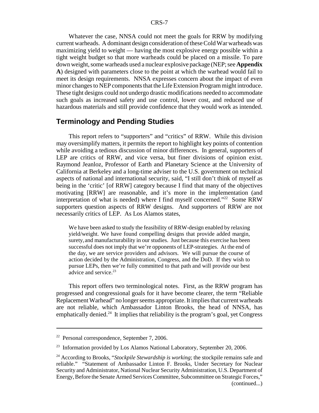Whatever the case, NNSA could not meet the goals for RRW by modifying current warheads. A dominant design consideration of these Cold War warheads was maximizing yield to weight — having the most explosive energy possible within a tight weight budget so that more warheads could be placed on a missile. To pare down weight, some warheads used a nuclear explosive package (NEP; see **Appendix A**) designed with parameters close to the point at which the warhead would fail to meet its design requirements. NNSA expresses concern about the impact of even minor changes to NEP components that the Life Extension Program might introduce. These tight designs could not undergo drastic modifications needed to accommodate such goals as increased safety and use control, lower cost, and reduced use of hazardous materials and still provide confidence that they would work as intended.

## **Terminology and Pending Studies**

This report refers to "supporters" and "critics" of RRW. While this division may oversimplify matters, it permits the report to highlight key points of contention while avoiding a tedious discussion of minor differences. In general, supporters of LEP are critics of RRW, and vice versa, but finer divisions of opinion exist. Raymond Jeanloz, Professor of Earth and Planetary Science at the University of California at Berkeley and a long-time adviser to the U.S. government on technical aspects of national and international security, said, "I still don't think of myself as being in the 'critic' [of RRW] category because I find that many of the objectives motivating [RRW] are reasonable, and it's more in the implementation (and interpretation of what is needed) where I find myself concerned."<sup>22</sup> Some RRW supporters question aspects of RRW designs. And supporters of RRW are not necessarily critics of LEP. As Los Alamos states,

We have been asked to study the feasibility of RRW-design enabled by relaxing yield/weight. We have found compelling designs that provide added margin, surety,and manufacturability in our studies. Just because this exercise has been successful does not imply that we're opponents of LEP-strategies. At the end of the day, we are service providers and advisors. We will pursue the course of action decided by the Administration, Congress, and the DoD. If they wish to pursue LEPs, then we're fully committed to that path and will provide our best advice and service.<sup>23</sup>

This report offers two terminological notes. First, as the RRW program has progressed and congressional goals for it have become clearer, the term "Reliable Replacement Warhead" no longer seems appropriate. It implies that current warheads are not reliable, which Ambassador Linton Brooks, the head of NNSA, has emphatically denied.<sup>24</sup> It implies that reliability is the program's goal, yet Congress

<sup>22</sup> Personal correspondence, September 7, 2006.

<sup>&</sup>lt;sup>23</sup> Information provided by Los Alamos National Laboratory, September 20, 2006.

<sup>&</sup>lt;sup>24</sup> According to Brooks, "*Stockpile Stewardship is working*; the stockpile remains safe and reliable." "Statement of Ambassador Linton F. Brooks, Under Secretary for Nuclear Security and Administrator, National Nuclear Security Administration, U.S. Department of Energy, Before the Senate Armed Services Committee, Subcommittee on Strategic Forces," (continued...)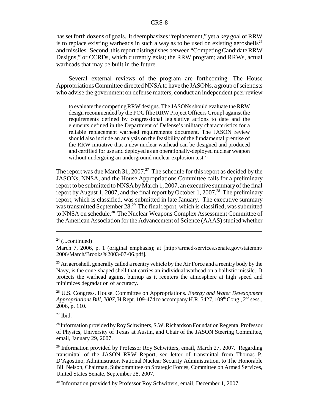has set forth dozens of goals. It deemphasizes "replacement," yet a key goal of RRW is to replace existing warheads in such a way as to be used on existing aeroshells<sup>25</sup> and missiles. Second, this report distinguishes between "Competing Candidate RRW Designs," or CCRDs, which currently exist; the RRW program; and RRWs, actual warheads that may be built in the future.

Several external reviews of the program are forthcoming. The House Appropriations Committee directed NNSA to have the JASONs, a group of scientists who advise the government on defense matters, conduct an independent peer review

to evaluate the competing RRW designs. The JASONs should evaluate the RRW design recommended by the POG [the RRW Project Officers Group] against the requirements defined by congressional legislative actions to date and the elements defined in the Department of Defense's military characteristics for a reliable replacement warhead requirements document. The JASON review should also include an analysis on the feasibility of the fundamental premise of the RRW initiative that a new nuclear warhead can be designed and produced and certified for use and deployed as an operationally-deployed nuclear weapon without undergoing an underground nuclear explosion test.<sup>26</sup>

The report was due March 31, 2007.<sup>27</sup> The schedule for this report as decided by the JASONs, NNSA, and the House Appropriations Committee calls for a preliminary report to be submitted to NNSA by March 1, 2007, an executive summary of the final report by August 1, 2007, and the final report by October 1, 2007.<sup>28</sup> The preliminary report, which is classified, was submitted in late January. The executive summary was transmitted September 28.<sup>29</sup> The final report, which is classified, was submitted to NNSA on schedule.<sup>30</sup> The Nuclear Weapons Complex Assessment Committee of the American Association for the Advancement of Science (AAAS) studied whether

 $27$  Ibid.

<sup>28</sup> Information provided by Roy Schwitters, S.W. Richardson Foundation Regental Professor of Physics, University of Texas at Austin, and Chair of the JASON Steering Committee, email, January 29, 2007.

 $^{29}$  Information provided by Professor Roy Schwitters, email, March 27, 2007. Regarding transmittal of the JASON RRW Report, see letter of transmittal from Thomas P. D'Agostino, Administrator, National Nuclear Security Administration, to The Honorable Bill Nelson, Chairman, Subcommittee on Strategic Forces, Committee on Armed Services, United States Senate, September 28, 2007.

<sup>30</sup> Information provided by Professor Roy Schwitters, email, December 1, 2007.

 $24$  (...continued)

March 7, 2006, p. 1 (original emphasis); at [http://armed-services.senate.gov/statemnt/ 2006/March/Brooks%2003-07-06.pdf].

 $25$  An aeroshell, generally called a reentry vehicle by the Air Force and a reentry body by the Navy, is the cone-shaped shell that carries an individual warhead on a ballistic missile. It protects the warhead against burnup as it reenters the atmosphere at high speed and minimizes degradation of accuracy.

<sup>26</sup> U.S. Congress. House. Committee on Appropriations. *Energy and Water Development Appropriations Bill, 2007, H.Rept. 109-474 to accompany H.R. 5427, 109<sup>th</sup> Cong., 2<sup>nd</sup> sess.,* 2006, p. 110.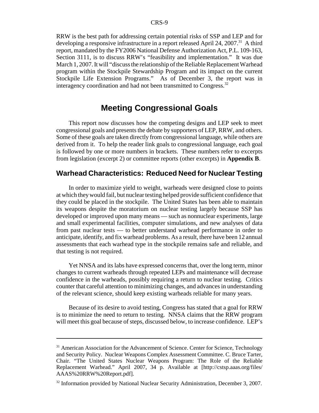RRW is the best path for addressing certain potential risks of SSP and LEP and for developing a responsive infrastructure in a report released April 24, 2007.<sup>31</sup> A third report, mandated by the FY2006 National Defense Authorization Act, P.L. 109-163, Section 3111, is to discuss RRW's "feasibility and implementation." It was due March 1, 2007. It will "discuss the relationship of the Reliable Replacement Warhead program within the Stockpile Stewardship Program and its impact on the current Stockpile Life Extension Programs." As of December 3, the report was in interagency coordination and had not been transmitted to Congress. $32$ 

## **Meeting Congressional Goals**

This report now discusses how the competing designs and LEP seek to meet congressional goals and presents the debate by supporters of LEP, RRW, and others. Some of these goals are taken directly from congressional language, while others are derived from it. To help the reader link goals to congressional language, each goal is followed by one or more numbers in brackets. These numbers refer to excerpts from legislation (excerpt 2) or committee reports (other excerpts) in **Appendix B**.

## **Warhead Characteristics: Reduced Need for Nuclear Testing**

In order to maximize yield to weight, warheads were designed close to points at which they would fail, but nuclear testing helped provide sufficient confidence that they could be placed in the stockpile. The United States has been able to maintain its weapons despite the moratorium on nuclear testing largely because SSP has developed or improved upon many means — such as nonnuclear experiments, large and small experimental facilities, computer simulations, and new analyses of data from past nuclear tests — to better understand warhead performance in order to anticipate, identify, and fix warhead problems. As a result, there have been 12 annual assessments that each warhead type in the stockpile remains safe and reliable, and that testing is not required.

Yet NNSA and its labs have expressed concerns that, over the long term, minor changes to current warheads through repeated LEPs and maintenance will decrease confidence in the warheads, possibly requiring a return to nuclear testing. Critics counter that careful attention to minimizing changes, and advances in understanding of the relevant science, should keep existing warheads reliable for many years.

Because of its desire to avoid testing, Congress has stated that a goal for RRW is to minimize the need to return to testing. NNSA claims that the RRW program will meet this goal because of steps, discussed below, to increase confidence. LEP's

<sup>&</sup>lt;sup>31</sup> American Association for the Advancement of Science. Center for Science, Technology and Security Policy. Nuclear Weapons Complex Assessment Committee. C. Bruce Tarter, Chair. "The United States Nuclear Weapons Program: The Role of the Reliable Replacement Warhead." April 2007, 34 p. Available at [http://cstsp.aaas.org/files/ AAAS%20RRW%20Report.pdf].

<sup>&</sup>lt;sup>32</sup> Information provided by National Nuclear Security Administration, December 3, 2007.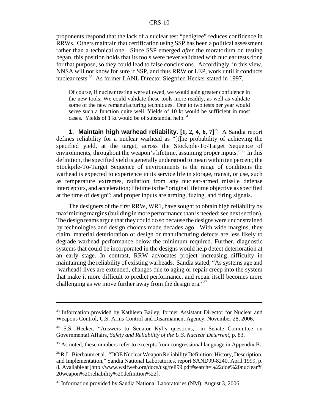proponents respond that the lack of a nuclear test "pedigree" reduces confidence in RRWs. Others maintain that certification using SSP has been a political assessment rather than a technical one. Since SSP emerged *after* the moratorium on testing began, this position holds that its tools were never validated with nuclear tests done for that purpose, so they could lead to false conclusions. Accordingly, in this view, NNSA will not know for sure if SSP, and thus RRW or LEP, work until it conducts nuclear tests.<sup>33</sup> As former LANL Director Siegfried Hecker stated in 1997,

Of course, if nuclear testing were allowed, we would gain greater confidence in the new tools. We could validate these tools more readily, as well as validate some of the new remanufacturing techniques. One to two tests per year would serve such a function quite well. Yields of 10 kt would be sufficient in most cases. Yields of 1 kt would be of substantial help.<sup>34</sup>

**1. Maintain high warhead reliability.** [1, 2, 4, 6, 7]<sup>35</sup> A Sandia report defines reliability for a nuclear warhead as "[t]he probability of achieving the specified yield, at the target, across the Stockpile-To-Target Sequence of environments, throughout the weapon's lifetime, assuming proper inputs."<sup>36</sup> In this definition, the specified yield is generally understood to mean within ten percent; the Stockpile-To-Target Sequence of environments is the range of conditions the warhead is expected to experience in its service life in storage, transit, or use, such as temperature extremes, radiation from any nuclear-armed missile defense interceptors, and acceleration; lifetime is the "original lifetime objective as specified at the time of design"; and proper inputs are arming, fuzing, and firing signals.

The designers of the first RRW, WR1, have sought to obtain high reliability by maximizing margins (building in more performance than is needed; see next section). The design teams argue that they could do so because the designs were unconstrained by technologies and design choices made decades ago. With wide margins, they claim, material deterioration or design or manufacturing defects are less likely to degrade warhead performance below the minimum required. Further, diagnostic systems that could be incorporated in the designs would help detect deterioration at an early stage. In contrast, RRW advocates project increasing difficulty in maintaining the reliability of existing warheads. Sandia stated, "As systems age and [warhead] lives are extended, changes due to aging or repair creep into the system that make it more difficult to predict performance, and repair itself becomes more challenging as we move further away from the design era."<sup>37</sup>

<sup>&</sup>lt;sup>33</sup> Information provided by Kathleen Bailey, former Assistant Director for Nuclear and Weapons Control, U.S. Arms Control and Disarmament Agency, November 28, 2006.

<sup>&</sup>lt;sup>34</sup> S.S. Hecker, "Answers to Senator Kyl's questions," in Senate Committee on Governmental Affairs, *Safety and Reliability of the U.S. Nuclear Deterrent,* p. 83.

<sup>&</sup>lt;sup>35</sup> As noted, these numbers refer to excerpts from congressional language in Appendix B.

<sup>36</sup> R.L. Bierbaum et al., "DOE Nuclear Weapon Reliability Definition: History, Description, and Implementation," Sandia National Laboratories, report SAND99-8240, April 1999, p. 8. Available at [http://www.wslfweb.org/docs/usg/reli99.pdf#search=%22doe%20nuclear% 20weapon%20reliability%20definition%22].

<sup>&</sup>lt;sup>37</sup> Information provided by Sandia National Laboratories (NM), August 3, 2006.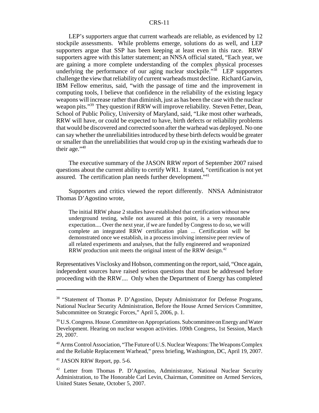LEP's supporters argue that current warheads are reliable, as evidenced by 12 stockpile assessments. While problems emerge, solutions do as well, and LEP supporters argue that SSP has been keeping at least even in this race. RRW supporters agree with this latter statement; an NNSA official stated, "Each year, we are gaining a more complete understanding of the complex physical processes underlying the performance of our aging nuclear stockpile."<sup>38</sup> LEP supporters challenge the view that reliability of current warheads must decline. Richard Garwin, IBM Fellow emeritus, said, "with the passage of time and the improvement in computing tools, I believe that confidence in the reliability of the existing legacy weapons will increase rather than diminish, just as has been the case with the nuclear weapon pits."<sup>39</sup> They question if RRW will improve reliability. Steven Fetter, Dean, School of Public Policy, University of Maryland, said, "Like most other warheads, RRW will have, or could be expected to have, birth defects or reliability problems that would be discovered and corrected soon after the warhead was deployed. No one can say whether the unreliabilities introduced by these birth defects would be greater or smaller than the unreliabilities that would crop up in the existing warheads due to their age."<sup>40</sup>

The executive summary of the JASON RRW report of September 2007 raised questions about the current ability to certify WR1. It stated, "certification is not yet assured. The certification plan needs further development.<sup>"41</sup>

Supporters and critics viewed the report differently. NNSA Administrator Thomas D'Agostino wrote,

The initial RRW phase 2 studies have established that certification without new underground testing, while not assured at this point, is a very reasonable expectation.... Over the next year, if we are funded by Congress to do so, we will complete an integrated RRW certification plan ... Certification will be demonstrated once we establish, in a process involving intensive peer review of all related experiments and analyses, that the fully engineered and weaponized RRW production unit meets the original intent of the RRW design.<sup>42</sup>

Representatives Visclosky and Hobson, commenting on the report, said, "Once again, independent sources have raised serious questions that must be addressed before proceeding with the RRW.... Only when the Department of Energy has completed

41 JASON RRW Report, pp. 5-6.

<sup>&</sup>lt;sup>38</sup> "Statement of Thomas P. D'Agostino, Deputy Administrator for Defense Programs, National Nuclear Security Administration, Before the House Armed Services Committee, Subcommittee on Strategic Forces," April 5, 2006, p. 1.

<sup>&</sup>lt;sup>39</sup> U.S. Congress. House. Committee on Appropriations. Subcommittee on Energy and Water Development. Hearing on nuclear weapon activities. 109th Congress, 1st Session, March 29, 2007.

<sup>&</sup>lt;sup>40</sup> Arms Control Association, "The Future of U.S. Nuclear Weapons: The Weapons Complex and the Reliable Replacement Warhead," press briefing, Washington, DC, April 19, 2007.

<sup>&</sup>lt;sup>42</sup> Letter from Thomas P. D'Agostino, Administrator, National Nuclear Security Administration, to The Honorable Carl Levin, Chairman, Committee on Armed Services, United States Senate, October 5, 2007.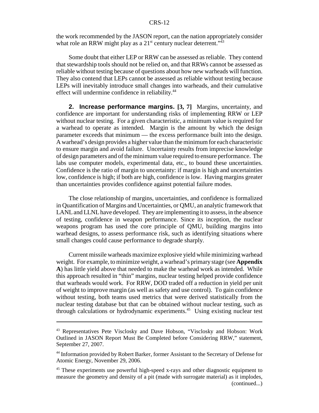the work recommended by the JASON report, can the nation appropriately consider what role an RRW might play as a  $21^{st}$  century nuclear deterrent.<sup> $143$ </sup>

Some doubt that either LEP or RRW can be assessed as reliable. They contend that stewardship tools should not be relied on, and that RRWs cannot be assessed as reliable without testing because of questions about how new warheads will function. They also contend that LEPs cannot be assessed as reliable without testing because LEPs will inevitably introduce small changes into warheads, and their cumulative effect will undermine confidence in reliability.<sup>44</sup>

**2. Increase performance margins. [3, 7]** Margins, uncertainty, and confidence are important for understanding risks of implementing RRW or LEP without nuclear testing. For a given characteristic, a minimum value is required for a warhead to operate as intended. Margin is the amount by which the design parameter exceeds that minimum — the excess performance built into the design. A warhead's design provides a higher value than the minimum for each characteristic to ensure margin and avoid failure. Uncertainty results from imprecise knowledge of design parameters and of the minimum value required to ensure performance. The labs use computer models, experimental data, etc., to bound these uncertainties. Confidence is the ratio of margin to uncertainty: if margin is high and uncertainties low, confidence is high; if both are high, confidence is low. Having margins greater than uncertainties provides confidence against potential failure modes.

The close relationship of margins, uncertainties, and confidence is formalized in Quantification of Margins and Uncertainties, or QMU, an analytic framework that LANL and LLNL have developed. They are implementing it to assess, in the absence of testing, confidence in weapon performance. Since its inception, the nuclear weapons program has used the core principle of QMU, building margins into warhead designs, to assess performance risk, such as identifying situations where small changes could cause performance to degrade sharply.

Current missile warheads maximize explosive yield while minimizing warhead weight. For example, to minimize weight, a warhead's primary stage (see **Appendix A**) has little yield above that needed to make the warhead work as intended. While this approach resulted in "thin" margins, nuclear testing helped provide confidence that warheads would work. For RRW, DOD traded off a reduction in yield per unit of weight to improve margin (as well as safety and use control). To gain confidence without testing, both teams used metrics that were derived statistically from the nuclear testing database but that can be obtained without nuclear testing, such as through calculations or hydrodynamic experiments.<sup>45</sup> Using existing nuclear test

<sup>43</sup> Representatives Pete Visclosky and Dave Hobson, "Visclosky and Hobson: Work Outlined in JASON Report Must Be Completed before Considering RRW," statement, September 27, 2007.

<sup>44</sup> Information provided by Robert Barker, former Assistant to the Secretary of Defense for Atomic Energy, November 29, 2006.

<sup>&</sup>lt;sup>45</sup> These experiments use powerful high-speed x-rays and other diagnostic equipment to measure the geometry and density of a pit (made with surrogate material) as it implodes, (continued...)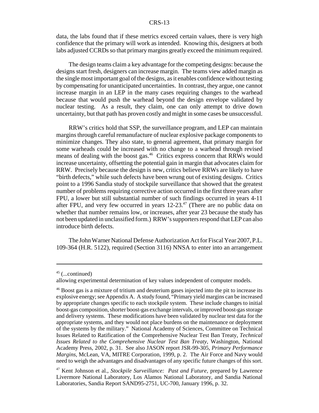data, the labs found that if these metrics exceed certain values, there is very high confidence that the primary will work as intended. Knowing this, designers at both labs adjusted CCRDs so that primary margins greatly exceed the minimum required.

The design teams claim a key advantage for the competing designs: because the designs start fresh, designers can increase margin. The teams view added margin as the single most important goal of the designs, as it enables confidence without testing by compensating for unanticipated uncertainties. In contrast, they argue, one cannot increase margin in an LEP in the many cases requiring changes to the warhead because that would push the warhead beyond the design envelope validated by nuclear testing. As a result, they claim, one can only attempt to drive down uncertainty, but that path has proven costly and might in some cases be unsuccessful.

RRW's critics hold that SSP, the surveillance program, and LEP can maintain margins through careful remanufacture of nuclear explosive package components to minimize changes. They also state, to general agreement, that primary margin for some warheads could be increased with no change to a warhead through revised means of dealing with the boost gas.<sup>46</sup> Critics express concern that RRWs would increase uncertainty, offsetting the potential gain in margin that advocates claim for RRW. Precisely because the design is new, critics believe RRWs are likely to have "birth defects," while such defects have been wrung out of existing designs. Critics point to a 1996 Sandia study of stockpile surveillance that showed that the greatest number of problems requiring corrective action occurred in the first three years after FPU, a lower but still substantial number of such findings occurred in years 4-11 after FPU, and very few occurred in years  $12-23$ .<sup>47</sup> (There are no public data on whether that number remains low, or increases, after year 23 because the study has not been updated in unclassified form.) RRW's supporters respond that LEP can also introduce birth defects.

The John Warner National Defense Authorization Act for Fiscal Year 2007, P.L. 109-364 (H.R. 5122), required (Section 3116) NNSA to enter into an arrangement

 $45$  (...continued)

allowing experimental determination of key values independent of computer models.

<sup>&</sup>lt;sup>46</sup> Boost gas is a mixture of tritium and deuterium gases injected into the pit to increase its explosive energy; see Appendix A. A study found, "Primary yield margins can be increased by appropriate changes specific to each stockpile system. These include changes to initial boost-gas composition, shorter boost-gas exchange intervals, or improved boost-gas storage and delivery systems. These modifications have been validated by nuclear test data for the appropriate systems, and they would not place burdens on the maintenance or deployment of the systems by the military." National Academy of Sciences, Committee on Technical Issues Related to Ratification of the Comprehensive Nuclear Test Ban Treaty, *Technical Issues Related to the Comprehensive Nuclear Test Ban Treaty,* Washington, National Academy Press, 2002, p. 31. See also JASON report JSR-99-305, *Primary Performance Margins,* McLean, VA, MITRE Corporation, 1999, p. 2. The Air Force and Navy would need to weigh the advantages and disadvantages of any specific future changes of this sort.

<sup>47</sup> Kent Johnson et al., *Stockpile Surveillance: Past and Future,* prepared by Lawrence Livermore National Laboratory, Los Alamos National Laboratory, and Sandia National Laboratories, Sandia Report SAND95-2751, UC-700, January 1996, p. 32.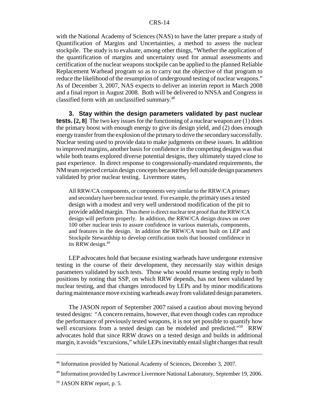with the National Academy of Sciences (NAS) to have the latter prepare a study of Quantification of Margins and Uncertainties, a method to assess the nuclear stockpile. The study is to evaluate, among other things, "Whether the application of the quantification of margins and uncertainty used for annual assessments and certification of the nuclear weapons stockpile can be applied to the planned Reliable Replacement Warhead program so as to carry out the objective of that program to reduce the likelihood of the resumption of underground testing of nuclear weapons." As of December 3, 2007, NAS expects to deliver an interim report in March 2008 and a final report in August 2008. Both will be delivered to NNSA and Congress in classified form with an unclassified summary.<sup>48</sup>

**3. Stay within the design parameters validated by past nuclear tests. [2, 8]** The two key issues for the functioning of a nuclear weapon are (1) does the primary boost with enough energy to give its design yield, and (2) does enough energy transfer from the explosion of the primary to drive the secondary successfully. Nuclear testing used to provide data to make judgments on these issues. In addition to improved margins, another basis for confidence in the competing designs was that while both teams explored diverse potential designs, they ultimately stayed close to past experience. In direct response to congressionally-mandated requirements, the NM team rejected certain design concepts because they fell outside design parameters validated by prior nuclear testing. Livermore states,

All RRW/CA components, or components very similar to the RRW/CA primary and secondary have been nuclear tested. For example, the primary uses a tested design with a modest and very well understood modification of the pit to provide added margin. Thus there is direct nuclear test proof that the RRW/CA design will perform properly. In addition, the RRW/CA design draws on over 100 other nuclear tests to assure confidence in various materials, components, and features in the design. In addition the RRW/CA team built on LEP and Stockpile Stewardship to develop certification tools that boosted confidence in its RRW design.<sup>49</sup>

LEP advocates hold that because existing warheads have undergone extensive testing in the course of their development, they necessarily stay within design parameters validated by such tests. Those who would resume testing reply to both positions by noting that SSP, on which RRW depends, has not been validated by nuclear testing, and that changes introduced by LEPs and by minor modifications during maintenance move existing warheads away from validated design parameters.

The JASON report of September 2007 raised a caution about moving beyond tested designs: "A concern remains, however, that even though codes can reproduce the performance of previously tested weapons, it is not yet possible to quantify how well excursions from a tested design can be modeled and predicted."<sup>50</sup> RRW advocates hold that since RRW draws on a tested design and builds in additional margin, it avoids "excursions," while LEPs inevitably entail slight changes that result

<sup>&</sup>lt;sup>48</sup> Information provided by National Academy of Sciences, December 3, 2007.

<sup>49</sup> Information provided by Lawrence Livermore National Laboratory, September 19, 2006.

<sup>50</sup> JASON RRW report, p. 5.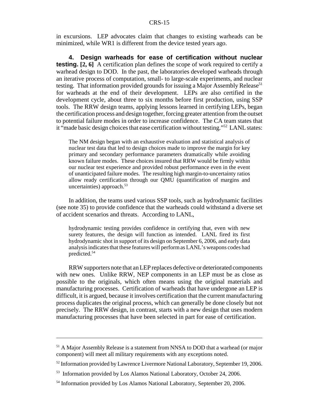in excursions. LEP advocates claim that changes to existing warheads can be minimized, while WR1 is different from the device tested years ago.

**4. Design warheads for ease of certification without nuclear testing.** [2, 6] A certification plan defines the scope of work required to certify a warhead design to DOD. In the past, the laboratories developed warheads through an iterative process of computation, small- to large-scale experiments, and nuclear testing. That information provided grounds for issuing a Major Assembly Release<sup>51</sup> for warheads at the end of their development. LEPs are also certified in the development cycle, about three to six months before first production, using SSP tools. The RRW design teams, applying lessons learned in certifying LEPs, began the certification process and design together, forcing greater attention from the outset to potential failure modes in order to increase confidence. The CA team states that it "made basic design choices that ease certification without testing."52 LANL states:

The NM design began with an exhaustive evaluation and statistical analysis of nuclear test data that led to design choices made to improve the margin for key primary and secondary performance parameters dramatically while avoiding known failure modes. These choices insured that RRW would be firmly within our nuclear test experience and provided robust performance even in the event of unanticipated failure modes. The resulting high margin-to-uncertainty ratios allow ready certification through our QMU (quantification of margins and uncertainties) approach. $53$ 

In addition, the teams used various SSP tools, such as hydrodynamic facilities (see note 35) to provide confidence that the warheads could withstand a diverse set of accident scenarios and threats. According to LANL,

hydrodynamic testing provides confidence in certifying that, even with new surety features, the design will function as intended. LANL fired its first hydrodynamic shot in support of its design on September 6, 2006, and early data analysis indicates that these features will perform as LANL's weapons codes had predicted.54

RRW supporters note that an LEP replaces defective or deteriorated components with new ones. Unlike RRW, NEP components in an LEP must be as close as possible to the originals, which often means using the original materials and manufacturing processes. Certification of warheads that have undergone an LEP is difficult, it is argued, because it involves certification that the current manufacturing process duplicates the original process, which can generally be done closely but not precisely. The RRW design, in contrast, starts with a new design that uses modern manufacturing processes that have been selected in part for ease of certification.

<sup>&</sup>lt;sup>51</sup> A Major Assembly Release is a statement from NNSA to DOD that a warhead (or major component) will meet all military requirements with any exceptions noted.

 $52$  Information provided by Lawrence Livermore National Laboratory, September 19, 2006.

<sup>53</sup> Information provided by Los Alamos National Laboratory, October 24, 2006.

<sup>54</sup> Information provided by Los Alamos National Laboratory, September 20, 2006.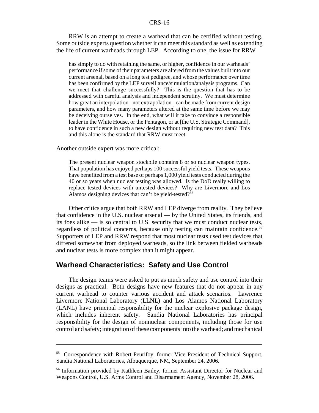RRW is an attempt to create a warhead that can be certified without testing. Some outside experts question whether it can meet this standard as well as extending the life of current warheads through LEP. According to one, the issue for RRW

has simply to do with retaining the same, or higher, confidence in our warheads' performance if some of their parameters are altered from the values built into our current arsenal, based on a long test pedigree, and whose performance over time has been confirmed by the LEP surveillance/simulation/analysis programs. Can we meet that challenge successfully? This is the question that has to be addressed with careful analysis and independent scrutiny. We must determine how great an interpolation - not extrapolation - can be made from current design parameters, and how many parameters altered at the same time before we may be deceiving ourselves. In the end, what will it take to convince a responsible leader in the White House, or the Pentagon, or at [the U.S. Strategic Command], to have confidence in such a new design without requiring new test data? This and this alone is the standard that RRW must meet.

Another outside expert was more critical:

The present nuclear weapon stockpile contains 8 or so nuclear weapon types. That population has enjoyed perhaps 100 successful yield tests. These weapons have benefited from a test base of perhaps 1,000 yield tests conducted during the 40 or so years when nuclear testing was allowed. Is the DoD really willing to replace tested devices with untested devices? Why are Livermore and Los Alamos designing devices that can't be yield-tested?<sup>55</sup>

Other critics argue that both RRW and LEP diverge from reality. They believe that confidence in the U.S. nuclear arsenal — by the United States, its friends, and its foes alike — is so central to U.S. security that we must conduct nuclear tests, regardless of political concerns, because only testing can maintain confidence.<sup>56</sup> Supporters of LEP and RRW respond that most nuclear tests used test devices that differed somewhat from deployed warheads, so the link between fielded warheads and nuclear tests is more complex than it might appear.

## **Warhead Characteristics: Safety and Use Control**

The design teams were asked to put as much safety and use control into their designs as practical. Both designs have new features that do not appear in any current warhead to counter various accident and attack scenarios. Lawrence Livermore National Laboratory (LLNL) and Los Alamos National Laboratory (LANL) have principal responsibility for the nuclear explosive package design, which includes inherent safety. Sandia National Laboratories has principal responsibility for the design of nonnuclear components, including those for use control and safety; integration of these components into the warhead; and mechanical

<sup>55</sup> Correspondence with Robert Peurifoy, former Vice President of Technical Support, Sandia National Laboratories, Albuquerque, NM, September 24, 2006.

<sup>&</sup>lt;sup>56</sup> Information provided by Kathleen Bailey, former Assistant Director for Nuclear and Weapons Control, U.S. Arms Control and Disarmament Agency, November 28, 2006.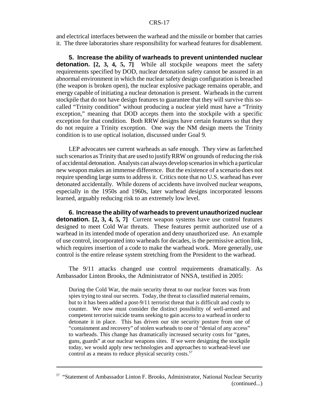and electrical interfaces between the warhead and the missile or bomber that carries it. The three laboratories share responsibility for warhead features for disablement.

**5. Increase the ability of warheads to prevent unintended nuclear detonation.** [2, 3, 4, 5, 7] While all stockpile weapons meet the safety requirements specified by DOD, nuclear detonation safety cannot be assured in an abnormal environment in which the nuclear safety design configuration is breached (the weapon is broken open), the nuclear explosive package remains operable, and energy capable of initiating a nuclear detonation is present. Warheads in the current stockpile that do not have design features to guarantee that they will survive this socalled "Trinity condition" without producing a nuclear yield must have a "Trinity exception," meaning that DOD accepts them into the stockpile with a specific exception for that condition. Both RRW designs have certain features so that they do not require a Trinity exception. One way the NM design meets the Trinity condition is to use optical isolation, discussed under Goal 9.

LEP advocates see current warheads as safe enough. They view as farfetched such scenarios as Trinity that are used to justify RRW on grounds of reducing the risk of accidental detonation. Analysts can always develop scenarios in which a particular new weapon makes an immense difference. But the existence of a scenario does not require spending large sums to address it. Critics note that no U.S. warhead has ever detonated accidentally. While dozens of accidents have involved nuclear weapons, especially in the 1950s and 1960s, later warhead designs incorporated lessons learned, arguably reducing risk to an extremely low level.

**6. Increase the ability of warheads to prevent unauthorized nuclear detonation. [2, 3, 4, 5, 7]** Current weapon systems have use control features designed to meet Cold War threats. These features permit authorized use of a warhead in its intended mode of operation and deny unauthorized use. An example of use control, incorporated into warheads for decades, is the permissive action link, which requires insertion of a code to make the warhead work. More generally, use control is the entire release system stretching from the President to the warhead.

The 9/11 attacks changed use control requirements dramatically. As Ambassador Linton Brooks, the Administrator of NNSA, testified in 2005:

During the Cold War, the main security threat to our nuclear forces was from spies trying to steal our secrets. Today, the threat to classified material remains, but to it has been added a post-9/11 terrorist threat that is difficult and costly to counter. We now must consider the distinct possibility of well-armed and competent terrorist suicide teams seeking to gain access to a warhead in order to detonate it in place. This has driven our site security posture from one of "containment and recovery" of stolen warheads to one of "denial of any access" to warheads. This change has dramatically increased security costs for "gates, guns, guards" at our nuclear weapons sites. If we were designing the stockpile today, we would apply new technologies and approaches to warhead-level use control as a means to reduce physical security costs.<sup>57</sup>

<sup>57 &</sup>quot;Statement of Ambassador Linton F. Brooks, Administrator, National Nuclear Security (continued...)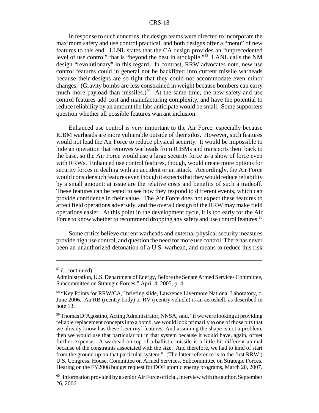In response to such concerns, the design teams were directed to incorporate the maximum safety and use control practical, and both designs offer a "menu" of new features to this end. LLNL states that the CA design provides an "unprecedented level of use control" that is "beyond the best in stockpile."58 LANL calls the NM design "revolutionary" in this regard. In contrast, RRW advocates note, new use control features could in general not be backfitted into current missile warheads because their designs are so tight that they could not accommodate even minor changes. (Gravity bombs are less constrained in weight because bombers can carry much more payload than missiles.)<sup>59</sup> At the same time, the new safety and use control features add cost and manufacturing complexity, and have the potential to reduce reliability by an amount the labs anticipate would be small. Some supporters question whether all possible features warrant inclusion.

Enhanced use control is very important to the Air Force, especially because ICBM warheads are more vulnerable outside of their silos. However, such features would not lead the Air Force to reduce physical security. It would be impossible to hide an operation that removes warheads from ICBMs and transports them back to the base, so the Air Force would use a large security force as a show of force even with RRWs. Enhanced use control features, though, would create more options for security forces in dealing with an accident or an attack. Accordingly, the Air Force would consider such features even though it expects that they would reduce reliability by a small amount; at issue are the relative costs and benefits of such a tradeoff. These features can be tested to see how they respond to different events, which can provide confidence in their value. The Air Force does not expect these features to affect field operations adversely, and the overall design of the RRW may make field operations easier. At this point in the development cycle, it is too early for the Air Force to know whether to recommend dropping any safety and use control features.<sup>60</sup>

Some critics believe current warheads and external physical security measures provide high use control, and question the need for more use control. There has never been an unauthorized detonation of a U.S. warhead, and means to reduce this risk

 $57$  (...continued)

Administration, U.S. Department of Energy, Before the Senate Armed Services Committee, Subcommittee on Strategic Forces," April 4, 2005, p. 4.

<sup>&</sup>lt;sup>58</sup> "Key Points for RRW/CA," briefing slide, Lawrence Livermore National Laboratory, c. June 2006. An RB (reentry body) or RV (reentry vehicle) is an aeroshell, as described in note 13.

<sup>59</sup> Thomas D'Agostino, Acting Administrator, NNSA, said, "if we were looking at providing reliable replacement concepts into a bomb, we would look primarily to one of those pits that we already know has these [security] features. And assuming the shape is not a problem, then we would use that particular pit in that system because it would have, again, offset further expense. A warhead on top of a ballistic missile is a little bit different animal because of the constraints associated with the size. And therefore, we had to kind of start from the ground up on that particular system." (The latter reference is to the first RRW.) U.S. Congress. House. Committee on Armed Services. Subcommittee on Strategic Forces. Hearing on the FY2008 budget request for DOE atomic energy programs, March 20, 2007.

 $60$  Information provided by a senior Air Force official, interview with the author, September 26, 2006.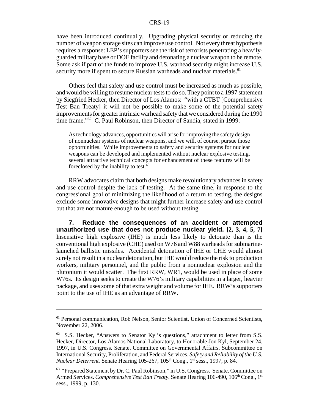have been introduced continually. Upgrading physical security or reducing the number of weapon storage sites can improve use control. Not every threat hypothesis requires a response: LEP's supporters see the risk of terrorists penetrating a heavilyguarded military base or DOE facility and detonating a nuclear weapon to be remote. Some ask if part of the funds to improve U.S. warhead security might increase U.S. security more if spent to secure Russian warheads and nuclear materials.<sup>61</sup>

Others feel that safety and use control must be increased as much as possible, and would be willing to resume nuclear tests to do so. They point to a 1997 statement by Siegfried Hecker, then Director of Los Alamos: "with a CTBT [Comprehensive Test Ban Treaty] it will not be possible to make some of the potential safety improvements for greater intrinsic warhead safety that we considered during the 1990 time frame."62 C. Paul Robinson, then Director of Sandia, stated in 1999:

As technology advances, opportunities will arise for improving the safety design of nonnuclear systems of nuclear weapons, and we will, of course, pursue those opportunities. While improvements to safety and security systems for nuclear weapons can be developed and implemented without nuclear explosive testing, several attractive technical concepts for enhancement of these features will be foreclosed by the inability to test.<sup>63</sup>

RRW advocates claim that both designs make revolutionary advances in safety and use control despite the lack of testing. At the same time, in response to the congressional goal of minimizing the likelihood of a return to testing, the designs exclude some innovative designs that might further increase safety and use control but that are not mature enough to be used without testing.

**7. Reduce the consequences of an accident or attempted unauthorized use that does not produce nuclear yield. [2, 3, 4, 5, 7]** Insensitive high explosive (IHE) is much less likely to detonate than is the conventional high explosive (CHE) used on W76 and W88 warheads for submarinelaunched ballistic missiles. Accidental detonation of IHE or CHE would almost surely not result in a nuclear detonation, but IHE would reduce the risk to production workers, military personnel, and the public from a nonnuclear explosion and the plutonium it would scatter. The first RRW, WR1, would be used in place of some W76s. Its design seeks to create the W76's military capabilities in a larger, heavier package, and uses some of that extra weight and volume for IHE. RRW's supporters point to the use of IHE as an advantage of RRW.

<sup>61</sup> Personal communication, Rob Nelson, Senior Scientist, Union of Concerned Scientists, November 22, 2006.

 $62$  S.S. Hecker, "Answers to Senator Kyl's questions," attachment to letter from S.S. Hecker, Director, Los Alamos National Laboratory, to Honorable Jon Kyl, September 24, 1997, in U.S. Congress. Senate. Committee on Governmental Affairs. Subcommittee on International Security, Proliferation, and Federal Services. *Safety and Reliability of the U.S. Nuclear Deterrent.* Senate Hearing 105-267, 105<sup>th</sup> Cong., 1<sup>st</sup> sess., 1997, p. 84.

<sup>&</sup>lt;sup>63</sup> "Prepared Statement by Dr. C. Paul Robinson," in U.S. Congress. Senate. Committee on Armed Services. *Comprehensive Test Ban Treaty*. Senate Hearing 106-490, 106<sup>th</sup> Cong., 1<sup>st</sup> sess., 1999, p. 130.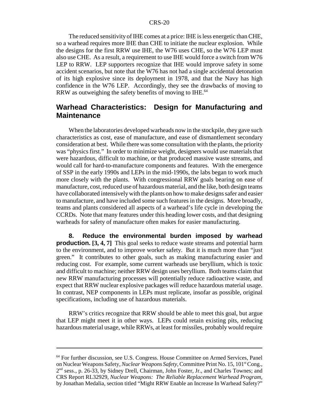The reduced sensitivity of IHE comes at a price: IHE is less energetic than CHE, so a warhead requires more IHE than CHE to initiate the nuclear explosion. While the designs for the first RRW use IHE, the W76 uses CHE, so the W76 LEP must also use CHE. As a result, a requirement to use IHE would force a switch from W76 LEP to RRW. LEP supporters recognize that IHE would improve safety in some accident scenarios, but note that the W76 has not had a single accidental detonation of its high explosive since its deployment in 1978, and that the Navy has high confidence in the W76 LEP. Accordingly, they see the drawbacks of moving to RRW as outweighing the safety benefits of moving to IHE.<sup>64</sup>

## **Warhead Characteristics: Design for Manufacturing and Maintenance**

When the laboratories developed warheads now in the stockpile, they gave such characteristics as cost, ease of manufacture, and ease of dismantlement secondary consideration at best. While there was some consultation with the plants, the priority was "physics first." In order to minimize weight, designers would use materials that were hazardous, difficult to machine, or that produced massive waste streams, and would call for hard-to-manufacture components and features. With the emergence of SSP in the early 1990s and LEPs in the mid-1990s, the labs began to work much more closely with the plants. With congressional RRW goals bearing on ease of manufacture, cost, reduced use of hazardous material, and the like, both design teams have collaborated intensively with the plants on how to make designs safer and easier to manufacture, and have included some such features in the designs. More broadly, teams and plants considered all aspects of a warhead's life cycle in developing the CCRDs. Note that many features under this heading lower costs, and that designing warheads for safety of manufacture often makes for easier manufacturing.

**8. Reduce the environmental burden imposed by warhead production. [3, 4, 7]** This goal seeks to reduce waste streams and potential harm to the environment, and to improve worker safety. But it is much more than "just green." It contributes to other goals, such as making manufacturing easier and reducing cost. For example, some current warheads use beryllium, which is toxic and difficult to machine; neither RRW design uses beryllium. Both teams claim that new RRW manufacturing processes will potentially reduce radioactive waste, and expect that RRW nuclear explosive packages will reduce hazardous material usage. In contrast, NEP components in LEPs must replicate, insofar as possible, original specifications, including use of hazardous materials.

RRW's critics recognize that RRW should be able to meet this goal, but argue that LEP might meet it in other ways. LEPs could retain existing pits, reducing hazardous material usage, while RRWs, at least for missiles, probably would require

<sup>64</sup> For further discussion, see U.S. Congress. House Committee on Armed Services, Panel on Nuclear Weapons Safety, *Nuclear Weapons Safety*, Committee Print No. 15, 101<sup>st</sup> Cong., 2nd sess., p. 26-33, by Sidney Drell, Chairman, John Foster, Jr., and Charles Townes; and CRS Report RL32929, *Nuclear Weapons: The Reliable Replacement Warhead Program,* by Jonathan Medalia, section titled "Might RRW Enable an Increase In Warhead Safety?"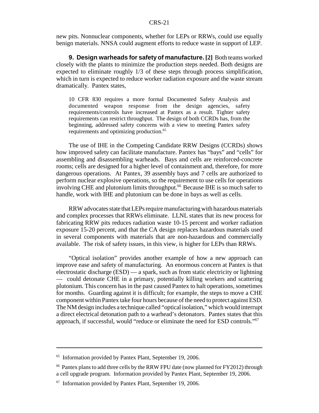new pits. Nonnuclear components, whether for LEPs or RRWs, could use equally benign materials. NNSA could augment efforts to reduce waste in support of LEP.

**9. Design warheads for safety of manufacture. [2]** Both teams worked closely with the plants to minimize the production steps needed. Both designs are expected to eliminate roughly 1/3 of these steps through process simplification, which in turn is expected to reduce worker radiation exposure and the waste stream dramatically. Pantex states,

10 CFR 830 requires a more formal Documented Safety Analysis and documented weapon response from the design agencies, safety requirements/controls have increased at Pantex as a result. Tighter safety requirements can restrict throughput. The design of both CCRDs has, from the beginning, addressed safety concerns with a view to meeting Pantex safety requirements and optimizing production.<sup>65</sup>

The use of IHE in the Competing Candidate RRW Designs (CCRDs) shows how improved safety can facilitate manufacture. Pantex has "bays" and "cells" for assembling and disassembling warheads. Bays and cells are reinforced-concrete rooms; cells are designed for a higher level of containment and, therefore, for more dangerous operations. At Pantex, 39 assembly bays and 7 cells are authorized to perform nuclear explosive operations, so the requirement to use cells for operations involving CHE and plutonium limits throughput.<sup>66</sup> Because IHE is so much safer to handle, work with IHE and plutonium can be done in bays as well as cells.

RRW advocates state that LEPs require manufacturing with hazardous materials and complex processes that RRWs eliminate. LLNL states that its new process for fabricating RRW pits reduces radiation waste 10-15 percent and worker radiation exposure 15-20 percent, and that the CA design replaces hazardous materials used in several components with materials that are non-hazardous and commercially available. The risk of safety issues, in this view, is higher for LEPs than RRWs.

"Optical isolation" provides another example of how a new approach can improve ease and safety of manufacturing. An enormous concern at Pantex is that electrostatic discharge (ESD) — a spark, such as from static electricity or lightning — could detonate CHE in a primary, potentially killing workers and scattering plutonium. This concern has in the past caused Pantex to halt operations, sometimes for months. Guarding against it is difficult; for example, the steps to move a CHE component within Pantex take four hours because of the need to protect against ESD. The NM design includes a technique called "optical isolation," which would interrupt a direct electrical detonation path to a warhead's detonators. Pantex states that this approach, if successful, would "reduce or eliminate the need for ESD controls."67

<sup>&</sup>lt;sup>65</sup> Information provided by Pantex Plant, September 19, 2006.

<sup>&</sup>lt;sup>66</sup> Pantex plans to add three cells by the RRW FPU date (now planned for FY2012) through a cell upgrade program. Information provided by Pantex Plant, September 19, 2006.

 $67$  Information provided by Pantex Plant, September 19, 2006.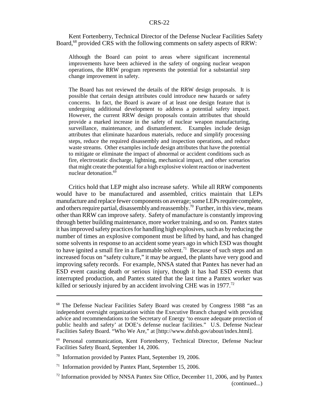Kent Fortenberry, Technical Director of the Defense Nuclear Facilities Safety Board,<sup>68</sup> provided CRS with the following comments on safety aspects of RRW:

Although the Board can point to areas where significant incremental improvements have been achieved in the safety of ongoing nuclear weapon operations, the RRW program represents the potential for a substantial step change improvement in safety.

The Board has not reviewed the details of the RRW design proposals. It is possible that certain design attributes could introduce new hazards or safety concerns. In fact, the Board is aware of at least one design feature that is undergoing additional development to address a potential safety impact. However, the current RRW design proposals contain attributes that should provide a marked increase in the safety of nuclear weapon manufacturing, surveillance, maintenance, and dismantlement. Examples include design attributes that eliminate hazardous materials, reduce and simplify processing steps, reduce the required disassembly and inspection operations, and reduce waste streams. Other examples include design attributes that have the potential to mitigate or eliminate the impact of abnormal or accident conditions such as fire, electrostatic discharge, lightning, mechanical impact, and other scenarios that might create the potential for a high explosive violent reaction or inadvertent nuclear detonation.<sup>69</sup>

Critics hold that LEP might also increase safety. While all RRW components would have to be manufactured and assembled, critics maintain that LEPs manufacture and replace fewer components on average; some LEPs require complete, and others require partial, disassembly and reassembly.<sup>70</sup> Further, in this view, means other than RRW can improve safety. Safety of manufacture is constantly improving through better building maintenance, more worker training, and so on. Pantex states it has improved safety practices for handling high explosives, such as by reducing the number of times an explosive component must be lifted by hand, and has changed some solvents in response to an accident some years ago in which ESD was thought to have ignited a small fire in a flammable solvent.<sup>71</sup> Because of such steps and an increased focus on "safety culture," it may be argued, the plants have very good and improving safety records. For example, NNSA stated that Pantex has never had an ESD event causing death or serious injury, though it has had ESD events that interrupted production, and Pantex stated that the last time a Pantex worker was killed or seriously injured by an accident involving CHE was in  $1977$ <sup>72</sup>

<sup>68</sup> The Defense Nuclear Facilities Safety Board was created by Congress 1988 "as an independent oversight organization within the Executive Branch charged with providing advice and recommendations to the Secretary of Energy 'to ensure adequate protection of public health and safety' at DOE's defense nuclear facilities." U.S. Defense Nuclear Facilities Safety Board. "Who We Are," at [http://www.dnfsb.gov/about/index.html].

<sup>69</sup> Personal communication, Kent Fortenberry, Technical Director, Defense Nuclear Facilities Safety Board, September 14, 2006.

<sup>70</sup> Information provided by Pantex Plant, September 19, 2006.

 $71$  Information provided by Pantex Plant, September 15, 2006.

 $72$  Information provided by NNSA Pantex Site Office, December 11, 2006, and by Pantex (continued...)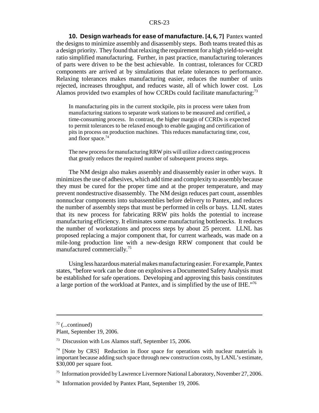**10. Design warheads for ease of manufacture. [4, 6, 7]** Pantex wanted the designs to minimize assembly and disassembly steps. Both teams treated this as a design priority. They found that relaxing the requirement for a high yield-to-weight ratio simplified manufacturing. Further, in past practice, manufacturing tolerances of parts were driven to be the best achievable. In contrast, tolerances for CCRD components are arrived at by simulations that relate tolerances to performance. Relaxing tolerances makes manufacturing easier, reduces the number of units rejected, increases throughput, and reduces waste, all of which lower cost. Los Alamos provided two examples of how CCRDs could facilitate manufacturing:<sup>73</sup>

In manufacturing pits in the current stockpile, pits in process were taken from manufacturing stations to separate work stations to be measured and certified, a time-consuming process. In contrast, the higher margin of CCRDs is expected to permit tolerances to be relaxed enough to enable gauging and certification of pits in process on production machines. This reduces manufacturing time, cost, and floor space.74

The new process for manufacturing RRW pits will utilize a direct casting process that greatly reduces the required number of subsequent process steps.

The NM design also makes assembly and disassembly easier in other ways. It minimizes the use of adhesives, which add time and complexity to assembly because they must be cured for the proper time and at the proper temperature, and may prevent nondestructive disassembly. The NM design reduces part count, assembles nonnuclear components into subassemblies before delivery to Pantex, and reduces the number of assembly steps that must be performed in cells or bays. LLNL states that its new process for fabricating RRW pits holds the potential to increase manufacturing efficiency. It eliminates some manufacturing bottlenecks. It reduces the number of workstations and process steps by about 25 percent. LLNL has proposed replacing a major component that, for current warheads, was made on a mile-long production line with a new-design RRW component that could be manufactured commercially.75

Using less hazardous material makes manufacturing easier. For example, Pantex states, "before work can be done on explosives a Documented Safety Analysis must be established for safe operations. Developing and approving this basis constitutes a large portion of the workload at Pantex, and is simplified by the use of IHE."76

 $72$  (...continued)

Plant, September 19, 2006.

<sup>73</sup> Discussion with Los Alamos staff, September 15, 2006.

 $74$  [Note by CRS] Reduction in floor space for operations with nuclear materials is important because adding such space through new construction costs, by LANL's estimate, \$30,000 per square foot.

<sup>&</sup>lt;sup>75</sup> Information provided by Lawrence Livermore National Laboratory, November 27, 2006.

<sup>76</sup> Information provided by Pantex Plant, September 19, 2006.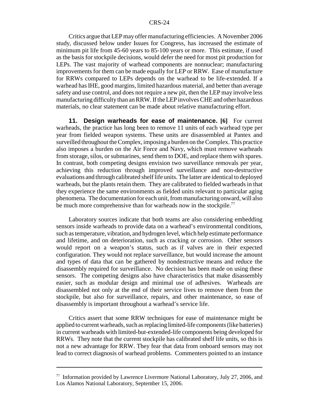Critics argue that LEP may offer manufacturing efficiencies. A November 2006 study, discussed below under Issues for Congress, has increased the estimate of minimum pit life from 45-60 years to 85-100 years or more. This estimate, if used as the basis for stockpile decisions, would defer the need for most pit production for LEPs. The vast majority of warhead components are nonnuclear; manufacturing improvements for them can be made equally for LEP or RRW. Ease of manufacture for RRWs compared to LEPs depends on the warhead to be life-extended. If a warhead has IHE, good margins, limited hazardous material, and better than average safety and use control, and does not require a new pit, then the LEP may involve less manufacturing difficulty than an RRW. If the LEP involves CHE and other hazardous materials, no clear statement can be made about relative manufacturing effort.

**11. Design warheads for ease of maintenance. [6]** For current warheads, the practice has long been to remove 11 units of each warhead type per year from fielded weapon systems. These units are disassembled at Pantex and surveilled throughout the Complex, imposing a burden on the Complex. This practice also imposes a burden on the Air Force and Navy, which must remove warheads from storage, silos, or submarines, send them to DOE, and replace them with spares. In contrast, both competing designs envision two surveillance removals per year, achieving this reduction through improved surveillance and non-destructive evaluations and through calibrated shelf life units. The latter are identical to deployed warheads, but the plants retain them. They are calibrated to fielded warheads in that they experience the same environments as fielded units relevant to particular aging phenomena. The documentation for each unit, from manufacturing onward, will also be much more comprehensive than for warheads now in the stockpile.<sup>77</sup>

Laboratory sources indicate that both teams are also considering embedding sensors inside warheads to provide data on a warhead's environmental conditions, such as temperature, vibration, and hydrogen level, which help estimate performance and lifetime, and on deterioration, such as cracking or corrosion. Other sensors would report on a weapon's status, such as if valves are in their expected configuration. They would not replace surveillance, but would increase the amount and types of data that can be gathered by nondestructive means and reduce the disassembly required for surveillance. No decision has been made on using these sensors. The competing designs also have characteristics that make disassembly easier, such as modular design and minimal use of adhesives. Warheads are disassembled not only at the end of their service lives to remove them from the stockpile, but also for surveillance, repairs, and other maintenance, so ease of disassembly is important throughout a warhead's service life.

Critics assert that some RRW techniques for ease of maintenance might be applied to current warheads, such as replacing limited-life components (like batteries) in current warheads with limited-but-extended-life components being developed for RRWs. They note that the current stockpile has calibrated shelf life units, so this is not a new advantage for RRW. They fear that data from onboard sensors may not lead to correct diagnosis of warhead problems. Commenters pointed to an instance

 $77$  Information provided by Lawrence Livermore National Laboratory, July 27, 2006, and Los Alamos National Laboratory, September 15, 2006.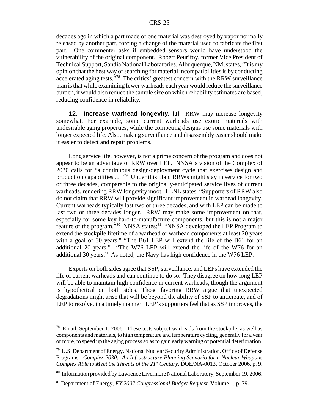decades ago in which a part made of one material was destroyed by vapor normally released by another part, forcing a change of the material used to fabricate the first part. One commenter asks if embedded sensors would have understood the vulnerability of the original component. Robert Peurifoy, former Vice President of Technical Support, Sandia National Laboratories, Albuquerque, NM, states, "It is my opinion that the best way of searching for material incompatibilities is by conducting accelerated aging tests."78 The critics' greatest concern with the RRW surveillance plan is that while examining fewer warheads each year would reduce the surveillance burden, it would also reduce the sample size on which reliability estimates are based, reducing confidence in reliability.

**12. Increase warhead longevity. [1]** RRW may increase longevity somewhat. For example, some current warheads use exotic materials with undesirable aging properties, while the competing designs use some materials with longer expected life. Also, making surveillance and disassembly easier should make it easier to detect and repair problems.

Long service life, however, is not a prime concern of the program and does not appear to be an advantage of RRW over LEP. NNSA's vision of the Complex of 2030 calls for "a continuous design/deployment cycle that exercises design and production capabilities …"79 Under this plan, RRWs might stay in service for two or three decades, comparable to the originally-anticipated service lives of current warheads, rendering RRW longevity moot. LLNL states, "Supporters of RRW also do not claim that RRW will provide significant improvement in warhead longevity. Current warheads typically last two or three decades, and with LEP can be made to last two or three decades longer. RRW may make some improvement on that, especially for some key hard-to-manufacture components, but this is not a major feature of the program."<sup>80</sup> NNSA states:<sup>81</sup> "NNSA developed the LEP Program to extend the stockpile lifetime of a warhead or warhead components at least 20 years with a goal of 30 years." "The B61 LEP will extend the life of the B61 for an additional 20 years." "The W76 LEP will extend the life of the W76 for an additional 30 years." As noted, the Navy has high confidence in the W76 LEP.

Experts on both sides agree that SSP, surveillance, and LEPs have extended the life of current warheads and can continue to do so. They disagree on how long LEP will be able to maintain high confidence in current warheads, though the argument is hypothetical on both sides. Those favoring RRW argue that unexpected degradations might arise that will be beyond the ability of SSP to anticipate, and of LEP to resolve, in a timely manner. LEP's supporters feel that as SSP improves, the

<sup>&</sup>lt;sup>78</sup> Email, September 1, 2006. These tests subject warheads from the stockpile, as well as components and materials, to high temperature and temperature cycling, generally for a year or more, to speed up the aging process so as to gain early warning of potential deterioration.

<sup>79</sup> U.S. Department of Energy. National Nuclear Security Administration. Office of Defense Programs. *Complex 2030: An Infrastructure Planning Scenario for a Nuclear Weapons Complex Able to Meet the Threats of the 21<sup>st</sup> Century, DOE/NA-0013, October 2006, p. 9.* 

<sup>80</sup> Information provided by Lawrence Livermore National Laboratory, September 19, 2006.

<sup>81</sup> Department of Energy, *FY 2007 Congressional Budget Request,* Volume 1, p. 79.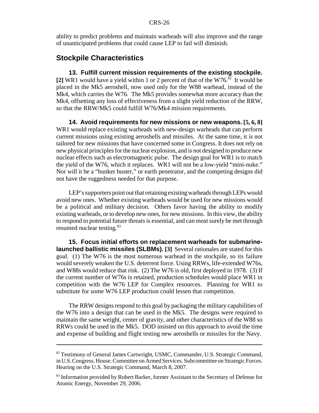ability to predict problems and maintain warheads will also improve and the range of unanticipated problems that could cause LEP to fail will diminish.

## **Stockpile Characteristics**

**13. Fulfill current mission requirements of the existing stockpile.** [2] WR1 would have a yield within 1 or 2 percent of that of the W76.<sup>82</sup> It would be placed in the Mk5 aeroshell, now used only for the W88 warhead, instead of the Mk4, which carries the W76. The Mk5 provides somewhat more accuracy than the Mk4, offsetting any loss of effectiveness from a slight yield reduction of the RRW, so that the RRW/Mk5 could fulfill W76/Mk4 mission requirements.

**14. Avoid requirements for new missions or new weapons. [5, 6, 8]** WR1 would replace existing warheads with new-design warheads that can perform current missions using existing aeroshells and missiles. At the same time, it is not tailored for new missions that have concerned some in Congress. It does not rely on new physical principles for the nuclear explosion, and is not designed to produce new nuclear effects such as electromagnetic pulse. The design goal for WR1 is to match the yield of the W76, which it replaces. WR1 will not be a low-yield "mini-nuke." Nor will it be a "bunker buster," or earth penetrator, and the competing designs did not have the ruggedness needed for that purpose.

LEP's supporters point out that retaining existing warheads through LEPs would avoid new ones. Whether existing warheads would be used for new missions would be a political and military decision. Others favor having the ability to modify existing warheads, or to develop new ones, for new missions. In this view, the ability to respond to potential future threats is essential, and can most surely be met through resumed nuclear testing.<sup>83</sup>

**15. Focus initial efforts on replacement warheads for submarinelaunched ballistic missiles (SLBMs). [3]** Several rationales are stated for this goal. (1) The W76 is the most numerous warhead in the stockpile, so its failure would severely weaken the U.S. deterrent force. Using RRWs, life-extended W76s, and W88s would reduce that risk. (2) The W76 is old, first deployed in 1978. (3) If the current number of W76s is retained, production schedules would place WR1 in competition with the W76 LEP for Complex resources. Planning for WR1 to substitute for some W76 LEP production could lessen that competition.

The RRW designs respond to this goal by packaging the military capabilities of the W76 into a design that can be used in the Mk5. The designs were required to maintain the same weight, center of gravity, and other characteristics of the W88 so RRWs could be used in the Mk5. DOD insisted on this approach to avoid the time and expense of building and flight testing new aeroshells or missiles for the Navy.

<sup>82</sup> Testimony of General James Cartwright, USMC, Commander, U.S. Strategic Command, in U.S. Congress. House. Committee on Armed Services. Subcommittee on Strategic Forces. Hearing on the U.S. Strategic Command, March 8, 2007.

<sup>&</sup>lt;sup>83</sup> Information provided by Robert Barker, former Assistant to the Secretary of Defense for Atomic Energy, November 29, 2006.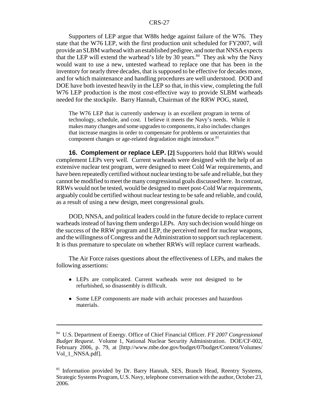Supporters of LEP argue that W88s hedge against failure of the W76. They state that the W76 LEP, with the first production unit scheduled for FY2007, will provide an SLBM warhead with an established pedigree, and note that NNSA expects that the LEP will extend the warhead's life by 30 years. $84$  They ask why the Navy would want to use a new, untested warhead to replace one that has been in the inventory for nearly three decades, that is supposed to be effective for decades more, and for which maintenance and handling procedures are well understood. DOD and DOE have both invested heavily in the LEP so that, in this view, completing the full W76 LEP production is the most cost-effective way to provide SLBM warheads needed for the stockpile. Barry Hannah, Chairman of the RRW POG, stated,

The W76 LEP that is currently underway is an excellent program in terms of technology, schedule, and cost. I believe it meets the Navy's needs. While it makes many changes and some upgrades to components, it also includes changes that increase margins in order to compensate for problems or uncertainties that component changes or age-related degradation might introduce.<sup>85</sup>

**16. Complement or replace LEP. [2]** Supporters hold that RRWs would complement LEPs very well. Current warheads were designed with the help of an extensive nuclear test program, were designed to meet Cold War requirements, and have been repeatedly certified without nuclear testing to be safe and reliable, but they cannot be modified to meet the many congressional goals discussed here. In contrast, RRWs would not be tested, would be designed to meet post-Cold War requirements, arguably could be certified without nuclear testing to be safe and reliable, and could, as a result of using a new design, meet congressional goals.

DOD, NNSA, and political leaders could in the future decide to replace current warheads instead of having them undergo LEPs. Any such decision would hinge on the success of the RRW program and LEP, the perceived need for nuclear weapons, and the willingness of Congress and the Administration to support such replacement. It is thus premature to speculate on whether RRWs will replace current warheads.

The Air Force raises questions about the effectiveness of LEPs, and makes the following assertions:

- ! LEPs are complicated. Current warheads were not designed to be refurbished, so disassembly is difficult.
- Some LEP components are made with archaic processes and hazardous materials.

<sup>84</sup> U.S. Department of Energy. Office of Chief Financial Officer. *FY 2007 Congressional Budget Request.* Volume 1, National Nuclear Security Administration. DOE/CF-002, February 2006, p. 79, at [http://www.mbe.doe.gov/budget/07budget/Content/Volumes/ Vol 1 NNSA.pdf].

<sup>&</sup>lt;sup>85</sup> Information provided by Dr. Barry Hannah, SES, Branch Head, Reentry Systems, Strategic Systems Program, U.S. Navy, telephone conversation with the author, October 23, 2006.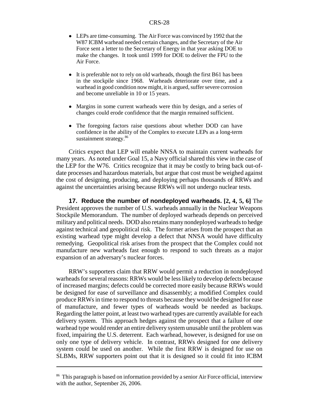- LEPs are time-consuming. The Air Force was convinced by 1992 that the W87 ICBM warhead needed certain changes, and the Secretary of the Air Force sent a letter to the Secretary of Energy in that year asking DOE to make the changes. It took until 1999 for DOE to deliver the FPU to the Air Force.
- It is preferable not to rely on old warheads, though the first B61 has been in the stockpile since 1968. Warheads deteriorate over time, and a warhead in good condition now might, it is argued, suffer severe corrosion and become unreliable in 10 or 15 years.
- ! Margins in some current warheads were thin by design, and a series of changes could erode confidence that the margin remained sufficient.
- The foregoing factors raise questions about whether DOD can have confidence in the ability of the Complex to execute LEPs as a long-term sustainment strategy.<sup>86</sup>

Critics expect that LEP will enable NNSA to maintain current warheads for many years. As noted under Goal 15, a Navy official shared this view in the case of the LEP for the W76. Critics recognize that it may be costly to bring back out-ofdate processes and hazardous materials, but argue that cost must be weighed against the cost of designing, producing, and deploying perhaps thousands of RRWs and against the uncertainties arising because RRWs will not undergo nuclear tests.

**17. Reduce the number of nondeployed warheads. [2, 4, 5, 6]** The President approves the number of U.S. warheads annually in the Nuclear Weapons Stockpile Memorandum. The number of deployed warheads depends on perceived military and political needs. DOD also retains many nondeployed warheads to hedge against technical and geopolitical risk. The former arises from the prospect that an existing warhead type might develop a defect that NNSA would have difficulty remedying. Geopolitical risk arises from the prospect that the Complex could not manufacture new warheads fast enough to respond to such threats as a major expansion of an adversary's nuclear forces.

RRW's supporters claim that RRW would permit a reduction in nondeployed warheads for several reasons: RRWs would be less likely to develop defects because of increased margins; defects could be corrected more easily because RRWs would be designed for ease of surveillance and disassembly; a modified Complex could produce RRWs in time to respond to threats because they would be designed for ease of manufacture, and fewer types of warheads would be needed as backups. Regarding the latter point, at least two warhead types are currently available for each delivery system. This approach hedges against the prospect that a failure of one warhead type would render an entire delivery system unusable until the problem was fixed, impairing the U.S. deterrent. Each warhead, however, is designed for use on only one type of delivery vehicle. In contrast, RRWs designed for one delivery system could be used on another. While the first RRW is designed for use on SLBMs, RRW supporters point out that it is designed so it could fit into ICBM

<sup>&</sup>lt;sup>86</sup> This paragraph is based on information provided by a senior Air Force official, interview with the author, September 26, 2006.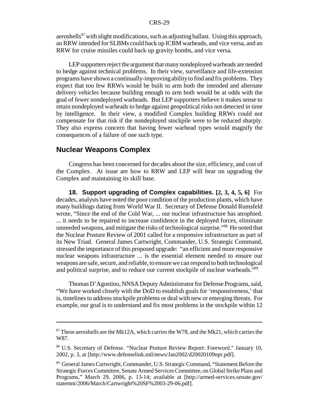aeroshells<sup>87</sup> with slight modifications, such as adjusting ballast. Using this approach, an RRW intended for SLBMs could back up ICBM warheads, and vice versa, and an RRW for cruise missiles could back up gravity bombs, and vice versa.

LEP supporters reject the argument that many nondeployed warheads are needed to hedge against technical problems. In their view, surveillance and life-extension programs have shown a continually-improving ability to find and fix problems. They expect that too few RRWs would be built to arm both the intended and alternate delivery vehicles because building enough to arm both would be at odds with the goal of fewer nondeployed warheads. But LEP supporters believe it makes sense to retain nondeployed warheads to hedge against geopolitical risks not detected in time by intelligence. In their view, a modified Complex building RRWs could not compensate for that risk if the nondeployed stockpile were to be reduced sharply. They also express concern that having fewer warhead types would magnify the consequences of a failure of one such type.

## **Nuclear Weapons Complex**

Congress has been concerned for decades about the size, efficiency, and cost of the Complex. At issue are how to RRW and LEP will bear on upgrading the Complex and maintaining its skill base.

**18. Support upgrading of Complex capabilities. [2, 3, 4, 5, 6]** For decades, analysts have noted the poor condition of the production plants, which have many buildings dating from World War II. Secretary of Defense Donald Rumsfeld wrote, "Since the end of the Cold War, ... our nuclear infrastructure has atrophied. ... it needs to be repaired to increase confidence in the deployed forces, eliminate unneeded weapons, and mitigate the risks of technological surprise.<sup>88</sup> He noted that the Nuclear Posture Review of 2001 called for a responsive infrastructure as part of its New Triad. General James Cartwright, Commander, U.S. Strategic Command, stressed the importance of this proposed upgrade: "an efficient and more responsive nuclear weapons infrastructure ... is the essential element needed to ensure our weapons are safe, secure, and reliable, to ensure we can respond to both technological and political surprise, and to reduce our current stockpile of nuclear warheads."<sup>89</sup>

Thomas D'Agostino, NNSA Deputy Administrator for Defense Programs, said, "We have worked closely with the DoD to establish goals for 'responsiveness,' that is, timelines to address stockpile problems or deal with new or emerging threats. For example, our goal is to understand and fix most problems in the stockpile within 12

 $87$  These aeroshells are the Mk12A, which carries the W78, and the Mk21, which carries the W87.

<sup>88</sup> U.S. Secretary of Defense. "Nuclear Posture Review Report: Foreword." January 10, 2002, p. 3, at [http://www.defenselink.mil/news/Jan2002/d20020109npr.pdf].

<sup>89</sup> General James Cartwright, Commander, U.S. Strategic Command, "Statement Before the Strategic Forces Committee, Senate Armed Services Committee, on Global Strike Plans and Programs," March 29, 2006, p. 13-14; available at [http://armed-services.senate.gov/ statemnt/2006/March/Cartwright%20SF%2003-29-06.pdf].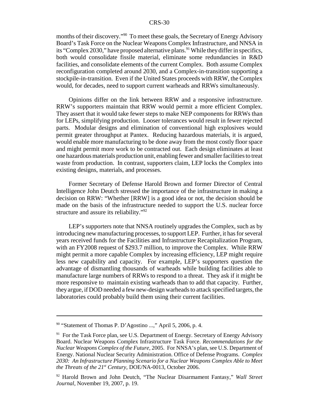months of their discovery."<sup>90</sup> To meet these goals, the Secretary of Energy Advisory Board's Task Force on the Nuclear Weapons Complex Infrastructure, and NNSA in its "Complex 2030," have proposed alternative plans. <sup>91</sup> While they differ in specifics, both would consolidate fissile material, eliminate some redundancies in R&D facilities, and consolidate elements of the current Complex. Both assume Complex reconfiguration completed around 2030, and a Complex-in-transition supporting a stockpile-in-transition. Even if the United States proceeds with RRW, the Complex would, for decades, need to support current warheads and RRWs simultaneously.

Opinions differ on the link between RRW and a responsive infrastructure. RRW's supporters maintain that RRW would permit a more efficient Complex. They assert that it would take fewer steps to make NEP components for RRWs than for LEPs, simplifying production. Looser tolerances would result in fewer rejected parts. Modular designs and elimination of conventional high explosives would permit greater throughput at Pantex. Reducing hazardous materials, it is argued, would enable more manufacturing to be done away from the most costly floor space and might permit more work to be contracted out. Each design eliminates at least one hazardous materials production unit, enabling fewer and smaller facilities to treat waste from production. In contrast, supporters claim, LEP locks the Complex into existing designs, materials, and processes.

Former Secretary of Defense Harold Brown and former Director of Central Intelligence John Deutch stressed the importance of the infrastructure in making a decision on RRW: "Whether [RRW] is a good idea or not, the decision should be made on the basis of the infrastructure needed to support the U.S. nuclear force structure and assure its reliability."<sup>92</sup>

LEP's supporters note that NNSA routinely upgrades the Complex, such as by introducing new manufacturing processes, to support LEP. Further, it has for several years received funds for the Facilities and Infrastructure Recapitalization Program, with an FY2008 request of \$293.7 million, to improve the Complex. While RRW might permit a more capable Complex by increasing efficiency, LEP might require less new capability and capacity. For example, LEP's supporters question the advantage of dismantling thousands of warheads while building facilities able to manufacture large numbers of RRWs to respond to a threat. They ask if it might be more responsive to maintain existing warheads than to add that capacity. Further, they argue, if DOD needed a few new-design warheads to attack specified targets, the laboratories could probably build them using their current facilities.

<sup>90 &</sup>quot;Statement of Thomas P. D'Agostino ...," April 5, 2006, p. 4.

 $91$  For the Task Force plan, see U.S. Department of Energy. Secretary of Energy Advisory Board. Nuclear Weapons Complex Infrastructure Task Force. *Recommendations for the Nuclear Weapons Complex of the Future,* 2005. For NNSA's plan, see U.S. Department of Energy. National Nuclear Security Administration. Office of Defense Programs. *Complex 2030: An Infrastructure Planning Scenario for a Nuclear Weapons Complex Able to Meet the Threats of the 21st Century,* DOE/NA-0013, October 2006.

<sup>92</sup> Harold Brown and John Deutch, "The Nuclear Disarmament Fantasy," *Wall Street Journal,* November 19, 2007, p. 19.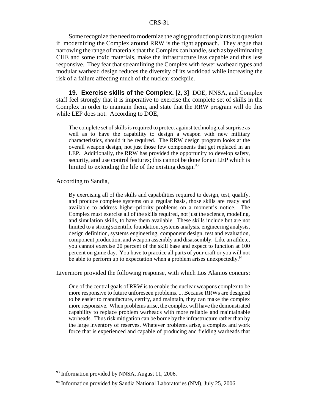Some recognize the need to modernize the aging production plants but question if modernizing the Complex around RRW is the right approach. They argue that narrowing the range of materials that the Complex can handle, such as by eliminating CHE and some toxic materials, make the infrastructure less capable and thus less responsive. They fear that streamlining the Complex with fewer warhead types and modular warhead design reduces the diversity of its workload while increasing the risk of a failure affecting much of the nuclear stockpile.

**19. Exercise skills of the Complex. [2, 3]** DOE, NNSA, and Complex staff feel strongly that it is imperative to exercise the complete set of skills in the Complex in order to maintain them, and state that the RRW program will do this while LEP does not. According to DOE,

The complete set of skills is required to protect against technological surprise as well as to have the capability to design a weapon with new military characteristics, should it be required. The RRW design program looks at the overall weapon design, not just those few components that get replaced in an LEP. Additionally, the RRW has provided the opportunity to develop safety, security, and use control features; this cannot be done for an LEP which is limited to extending the life of the existing design.  $93$ 

According to Sandia,

By exercising all of the skills and capabilities required to design, test, qualify, and produce complete systems on a regular basis, those skills are ready and available to address higher-priority problems on a moment's notice. The Complex must exercise all of the skills required, not just the science, modeling, and simulation skills, to have them available. These skills include but are not limited to a strong scientific foundation, systems analysis, engineering analysis, design definition, systems engineering, component design, test and evaluation, component production, and weapon assembly and disassembly. Like an athlete, you cannot exercise 20 percent of the skill base and expect to function at 100 percent on game day. You have to practice all parts of your craft or you will not be able to perform up to expectation when a problem arises unexpectedly.<sup>94</sup>

Livermore provided the following response, with which Los Alamos concurs:

One of the central goals of RRW is to enable the nuclear weapons complex to be more responsive to future unforeseen problems. ... Because RRWs are designed to be easier to manufacture, certify, and maintain, they can make the complex more responsive. When problems arise, the complex will have the demonstrated capability to replace problem warheads with more reliable and maintainable warheads. Thus risk mitigation can be borne by the infrastructure rather than by the large inventory of reserves. Whatever problems arise, a complex and work force that is experienced and capable of producing and fielding warheads that

 $93$  Information provided by NNSA, August 11, 2006.

 $94$  Information provided by Sandia National Laboratories (NM), July 25, 2006.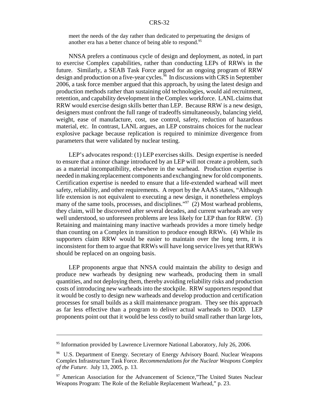meet the needs of the day rather than dedicated to perpetuating the designs of another era has a better chance of being able to respond.95

NNSA prefers a continuous cycle of design and deployment, as noted, in part to exercise Complex capabilities, rather than conducting LEPs of RRWs in the future. Similarly, a SEAB Task Force argued for an ongoing program of RRW design and production on a five-year cycles.<sup>96</sup> In discussions with CRS in September 2006, a task force member argued that this approach, by using the latest design and production methods rather than sustaining old technologies, would aid recruitment, retention, and capability development in the Complex workforce. LANL claims that RRW would exercise design skills better than LEP. Because RRW is a new design, designers must confront the full range of tradeoffs simultaneously, balancing yield, weight, ease of manufacture, cost, use control, safety, reduction of hazardous material, etc. In contrast, LANL argues, an LEP constrains choices for the nuclear explosive package because replication is required to minimize divergence from parameters that were validated by nuclear testing.

LEP's advocates respond: (1) LEP exercises skills. Design expertise is needed to ensure that a minor change introduced by an LEP will not create a problem, such as a material incompatibility, elsewhere in the warhead. Production expertise is needed in making replacement components and exchanging new for old components. Certification expertise is needed to ensure that a life-extended warhead will meet safety, reliability, and other requirements. A report by the AAAS states, "Although life extension is not equivalent to executing a new design, it nonetheless employs many of the same tools, processes, and disciplines."<sup>97</sup> (2) Most warhead problems, they claim, will be discovered after several decades, and current warheads are very well understood, so unforeseen problems are less likely for LEP than for RRW. (3) Retaining and maintaining many inactive warheads provides a more timely hedge than counting on a Complex in transition to produce enough RRWs. (4) While its supporters claim RRW would be easier to maintain over the long term, it is inconsistent for them to argue that RRWs will have long service lives yet that RRWs should be replaced on an ongoing basis.

LEP proponents argue that NNSA could maintain the ability to design and produce new warheads by designing new warheads, producing them in small quantities, and not deploying them, thereby avoiding reliability risks and production costs of introducing new warheads into the stockpile. RRW supporters respond that it would be costly to design new warheads and develop production and certification processes for small builds as a skill maintenance program. They see this approach as far less effective than a program to deliver actual warheads to DOD. LEP proponents point out that it would be less costly to build small rather than large lots,

<sup>&</sup>lt;sup>95</sup> Information provided by Lawrence Livermore National Laboratory, July 26, 2006.

<sup>&</sup>lt;sup>96</sup> U.S. Department of Energy. Secretary of Energy Advisory Board. Nuclear Weapons Complex Infrastructure Task Force. *Recommendations for the Nuclear Weapons Complex of the Future.* July 13, 2005, p. 13.

<sup>&</sup>lt;sup>97</sup> American Association for the Advancement of Science,"The United States Nuclear Weapons Program: The Role of the Reliable Replacement Warhead," p. 23.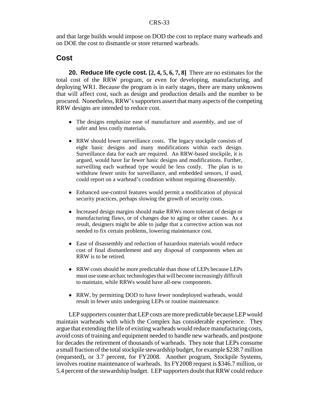and that large builds would impose on DOD the cost to replace many warheads and on DOE the cost to dismantle or store returned warheads.

## **Cost**

**20. Reduce life cycle cost. [2, 4, 5, 6, 7, 8]** There are no estimates for the total cost of the RRW program, or even for developing, manufacturing, and deploying WR1. Because the program is in early stages, there are many unknowns that will affect cost, such as design and production details and the number to be procured. Nonetheless, RRW's supporters assert that many aspects of the competing RRW designs are intended to reduce cost.

- The designs emphasize ease of manufacture and assembly, and use of safer and less costly materials.
- RRW should lower surveillance costs. The legacy stockpile consists of eight basic designs and many modifications within each design. Surveillance data for each are required. An RRW-based stockpile, it is argued, would have far fewer basic designs and modifications. Further, surveilling each warhead type would be less costly. The plan is to withdraw fewer units for surveillance, and embedded sensors, if used, could report on a warhead's condition without requiring disassembly.
- ! Enhanced use-control features would permit a modification of physical security practices, perhaps slowing the growth of security costs.
- Increased design margins should make RRWs more tolerant of design or manufacturing flaws, or of changes due to aging or other causes. As a result, designers might be able to judge that a corrective action was not needed to fix certain problems, lowering maintenance cost.
- Ease of disassembly and reduction of hazardous materials would reduce cost of final dismantlement and any disposal of components when an RRW is to be retired.
- ! RRW costs should be more predictable than those of LEPs because LEPs must use some archaic technologies that will become increasingly difficult to maintain, while RRWs would have all-new components.
- RRW, by permitting DOD to have fewer nondeployed warheads, would result in fewer units undergoing LEPs or routine maintenance.

LEP supporters counter that LEP costs are more predictable because LEP would maintain warheads with which the Complex has considerable experience. They argue that extending the life of existing warheads would reduce manufacturing costs, avoid costs of training and equipment needed to handle new warheads, and postpone for decades the retirement of thousands of warheads. They note that LEPs consume a small fraction of the total stockpile stewardship budget, for example \$238.7 million (requested), or 3.7 percent, for FY2008. Another program, Stockpile Systems, involves routine maintenance of warheads. Its FY2008 request is \$346.7 million, or 5.4 percent of the stewardship budget. LEP supporters doubt that RRW could reduce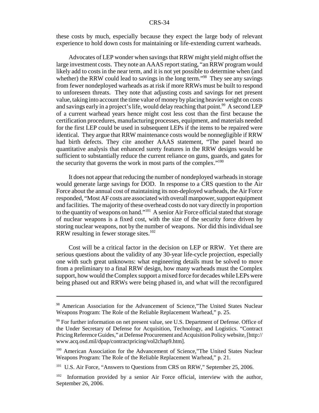these costs by much, especially because they expect the large body of relevant experience to hold down costs for maintaining or life-extending current warheads.

Advocates of LEP wonder when savings that RRW might yield might offset the large investment costs. They note an AAAS report stating, "an RRW program would likely add to costs in the near term, and it is not yet possible to determine when (and whether) the RRW could lead to savings in the long term."<sup>98</sup> They see any savings from fewer nondeployed warheads as at risk if more RRWs must be built to respond to unforeseen threats. They note that adjusting costs and savings for net present value, taking into account the time value of money by placing heavier weight on costs and savings early in a project's life, would delay reaching that point.<sup>99</sup> A second LEP of a current warhead years hence might cost less cost than the first because the certification procedures, manufacturing processes, equipment, and materials needed for the first LEP could be used in subsequent LEPs if the items to be repaired were identical. They argue that RRW maintenance costs would be nonnegligible if RRW had birth defects. They cite another AAAS statement, "The panel heard no quantitative analysis that enhanced surety features in the RRW designs would be sufficient to substantially reduce the current reliance on guns, guards, and gates for the security that governs the work in most parts of the complex."<sup>100</sup>

It does not appear that reducing the number of nondeployed warheads in storage would generate large savings for DOD. In response to a CRS question to the Air Force about the annual cost of maintaining its non-deployed warheads, the Air Force responded, "Most AF costs are associated with overall manpower, support equipment and facilities. The majority of these overhead costs do not vary directly in proportion to the quantity of weapons on hand."101 A senior Air Force official stated that storage of nuclear weapons is a fixed cost, with the size of the security force driven by storing nuclear weapons, not by the number of weapons. Nor did this individual see RRW resulting in fewer storage sites.<sup>102</sup>

Cost will be a critical factor in the decision on LEP or RRW. Yet there are serious questions about the validity of any 30-year life-cycle projection, especially one with such great unknowns: what engineering details must be solved to move from a preliminary to a final RRW design, how many warheads must the Complex support, how would the Complex support a mixed force for decades while LEPs were being phased out and RRWs were being phased in, and what will the reconfigured

<sup>&</sup>lt;sup>98</sup> American Association for the Advancement of Science,"The United States Nuclear Weapons Program: The Role of the Reliable Replacement Warhead," p. 25.

<sup>99</sup> For further information on net present value, see U.S. Department of Defense. Office of the Under Secretary of Defense for Acquisition, Technology, and Logistics. "Contract Pricing Reference Guides," at Defense Procurement and Acquisition Policy website, [http:// www.acq.osd.mil/dpap/contractpricing/vol2chap9.htm].

<sup>&</sup>lt;sup>100</sup> American Association for the Advancement of Science,"The United States Nuclear Weapons Program: The Role of the Reliable Replacement Warhead," p. 21.

<sup>&</sup>lt;sup>101</sup> U.S. Air Force, "Answers to Questions from CRS on RRW," September 25, 2006.

 $102$  Information provided by a senior Air Force official, interview with the author, September 26, 2006.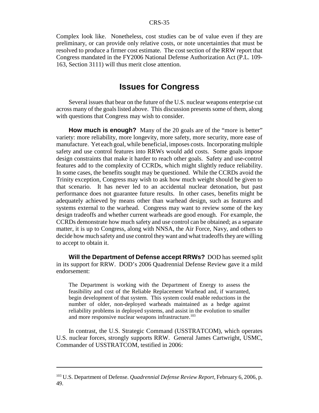Complex look like. Nonetheless, cost studies can be of value even if they are preliminary, or can provide only relative costs, or note uncertainties that must be resolved to produce a firmer cost estimate. The cost section of the RRW report that Congress mandated in the FY2006 National Defense Authorization Act (P.L. 109- 163, Section 3111) will thus merit close attention.

## **Issues for Congress**

Several issues that bear on the future of the U.S. nuclear weapons enterprise cut across many of the goals listed above. This discussion presents some of them, along with questions that Congress may wish to consider.

**How much is enough?** Many of the 20 goals are of the "more is better" variety: more reliability, more longevity, more safety, more security, more ease of manufacture. Yet each goal, while beneficial, imposes costs. Incorporating multiple safety and use control features into RRWs would add costs. Some goals impose design constraints that make it harder to reach other goals. Safety and use-control features add to the complexity of CCRDs, which might slightly reduce reliability. In some cases, the benefits sought may be questioned. While the CCRDs avoid the Trinity exception, Congress may wish to ask how much weight should be given to that scenario. It has never led to an accidental nuclear detonation, but past performance does not guarantee future results. In other cases, benefits might be adequately achieved by means other than warhead design, such as features and systems external to the warhead. Congress may want to review some of the key design tradeoffs and whether current warheads are good enough. For example, the CCRDs demonstrate how much safety and use control can be obtained; as a separate matter, it is up to Congress, along with NNSA, the Air Force, Navy, and others to decide how much safety and use control they want and what tradeoffs they are willing to accept to obtain it.

**Will the Department of Defense accept RRWs?** DOD has seemed split in its support for RRW. DOD's 2006 Quadrennial Defense Review gave it a mild endorsement:

The Department is working with the Department of Energy to assess the feasibility and cost of the Reliable Replacement Warhead and, if warranted, begin development of that system. This system could enable reductions in the number of older, non-deployed warheads maintained as a hedge against reliability problems in deployed systems, and assist in the evolution to smaller and more responsive nuclear weapons infrastructure.<sup>103</sup>

In contrast, the U.S. Strategic Command (USSTRATCOM), which operates U.S. nuclear forces, strongly supports RRW. General James Cartwright, USMC, Commander of USSTRATCOM, testified in 2006:

<sup>103</sup> U.S. Department of Defense. *Quadrennial Defense Review Report,* February 6, 2006, p. 49.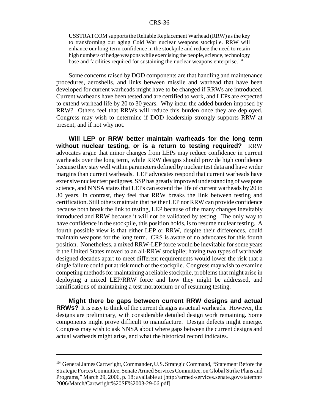USSTRATCOM supports the Reliable Replacement Warhead (RRW) as the key to transforming our aging Cold War nuclear weapons stockpile. RRW will enhance our long-term confidence in the stockpile and reduce the need to retain high numbers of hedge weapons while exercising the people, science, technology base and facilities required for sustaining the nuclear weapons enterprise.<sup>104</sup>

Some concerns raised by DOD components are that handling and maintenance procedures, aeroshells, and links between missile and warhead that have been developed for current warheads might have to be changed if RRWs are introduced. Current warheads have been tested and are certified to work, and LEPs are expected to extend warhead life by 20 to 30 years. Why incur the added burden imposed by RRW? Others feel that RRWs will reduce this burden once they are deployed. Congress may wish to determine if DOD leadership strongly supports RRW at present, and if not why not.

**Will LEP or RRW better maintain warheads for the long term without nuclear testing, or is a return to testing required?** RRW advocates argue that minor changes from LEPs may reduce confidence in current warheads over the long term, while RRW designs should provide high confidence because they stay well within parameters defined by nuclear test data and have wider margins than current warheads. LEP advocates respond that current warheads have extensive nuclear test pedigrees, SSP has greatly improved understanding of weapons science, and NNSA states that LEPs can extend the life of current warheads by 20 to 30 years. In contrast, they feel that RRW breaks the link between testing and certification. Still others maintain that neither LEP nor RRW can provide confidence because both break the link to testing, LEP because of the many changes inevitably introduced and RRW because it will not be validated by testing. The only way to have confidence in the stockpile, this position holds, is to resume nuclear testing. A fourth possible view is that either LEP or RRW, despite their differences, could maintain weapons for the long term. CRS is aware of no advocates for this fourth position. Nonetheless, a mixed RRW-LEP force would be inevitable for some years if the United States moved to an all-RRW stockpile; having two types of warheads designed decades apart to meet different requirements would lower the risk that a single failure could put at risk much of the stockpile. Congress may wish to examine competing methods for maintaining a reliable stockpile, problems that might arise in deploying a mixed LEP/RRW force and how they might be addressed, and ramifications of maintaining a test moratorium or of resuming testing.

**Might there be gaps between current RRW designs and actual RRWs?** It is easy to think of the current designs as actual warheads. However, the designs are preliminary, with considerable detailed design work remaining. Some components might prove difficult to manufacture. Design defects might emerge. Congress may wish to ask NNSA about where gaps between the current designs and actual warheads might arise, and what the historical record indicates.

<sup>&</sup>lt;sup>104</sup> General James Cartwright, Commander, U.S. Strategic Command, "Statement Before the Strategic Forces Committee, Senate Armed Services Committee, on Global Strike Plans and Programs," March 29, 2006, p. 18; available at [http://armed-services.senate.gov/statemnt/ 2006/March/Cartwright%20SF%2003-29-06.pdf].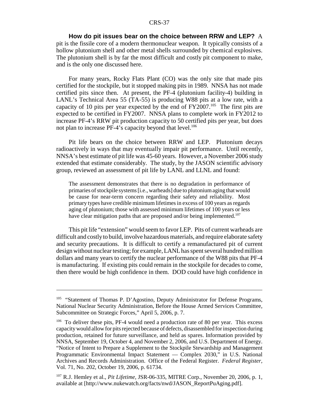**How do pit issues bear on the choice between RRW and LEP?** A pit is the fissile core of a modern thermonuclear weapon. It typically consists of a hollow plutonium shell and other metal shells surrounded by chemical explosives. The plutonium shell is by far the most difficult and costly pit component to make, and is the only one discussed here.

For many years, Rocky Flats Plant (CO) was the only site that made pits certified for the stockpile, but it stopped making pits in 1989. NNSA has not made certified pits since then. At present, the PF-4 (plutonium facility-4) building in LANL's Technical Area 55 (TA-55) is producing W88 pits at a low rate, with a capacity of 10 pits per year expected by the end of  $FY2007$ .<sup>105</sup> The first pits are expected to be certified in FY2007. NNSA plans to complete work in FY2012 to increase PF-4's RRW pit production capacity to 50 certified pits per year, but does not plan to increase PF-4's capacity beyond that level.<sup>106</sup>

Pit life bears on the choice between RRW and LEP. Plutonium decays radioactively in ways that may eventually impair pit performance. Until recently, NNSA's best estimate of pit life was 45-60 years. However, a November 2006 study extended that estimate considerably. The study, by the JASON scientific advisory group, reviewed an assessment of pit life by LANL and LLNL and found:

The assessment demonstrates that there is no degradation in performance of primaries of stockpile systems [i.e., warheads] due to plutonium aging that would be cause for near-term concern regarding their safety and reliability. Most primary types have credible minimum lifetimes in excess of 100 years as regards aging of plutonium; those with assessed minimum lifetimes of 100 years or less have clear mitigation paths that are proposed and/or being implemented.<sup>107</sup>

This pit life "extension" would seem to favor LEP. Pits of current warheads are difficult and costly to build, involve hazardous materials, and require elaborate safety and security precautions. It is difficult to certify a remanufactured pit of current design without nuclear testing; for example, LANL has spent several hundred million dollars and many years to certify the nuclear performance of the W88 pits that PF-4 is manufacturing. If existing pits could remain in the stockpile for decades to come, then there would be high confidence in them. DOD could have high confidence in

<sup>&</sup>lt;sup>105</sup> "Statement of Thomas P. D'Agostino, Deputy Administrator for Defense Programs, National Nuclear Security Administration, Before the House Armed Services Committee, Subcommittee on Strategic Forces," April 5, 2006, p. 7.

<sup>&</sup>lt;sup>106</sup> To deliver these pits, PF-4 would need a production rate of 80 per year. This excess capacity would allow for pits rejected because of defects, disassembled for inspection during production, retained for future surveillance, and held as spares. Information provided by NNSA, September 19, October 4, and November 2, 2006, and U.S. Department of Energy. "Notice of Intent to Prepare a Supplement to the Stockpile Stewardship and Management Programmatic Environmental Impact Statement — Complex 2030," in U.S. National Archives and Records Administration. Office of the Federal Register. *Federal Register,* Vol. 71, No. 202, October 19, 2006, p. 61734.

<sup>107</sup> R.J. Hemley et al., *Pit Lifetime,* JSR-06-335, MITRE Corp., November 20, 2006, p. 1, available at [http://www.nukewatch.org/facts/nwd/JASON\_ReportPuAging.pdf].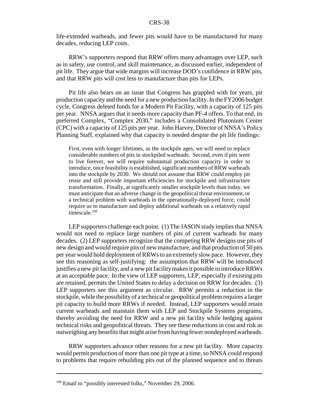life-extended warheads, and fewer pits would have to be manufactured for many decades, reducing LEP costs.

RRW's supporters respond that RRW offers many advantages over LEP, such as in safety, use control, and skill maintenance, as discussed earlier, independent of pit life. They argue that wide margins will increase DOD's confidence in RRW pits, and that RRW pits will cost less to manufacture than pits for LEPs.

Pit life also bears on an issue that Congress has grappled with for years, pit production capacity and the need for a new production facility. In the FY2006 budget cycle, Congress deleted funds for a Modern Pit Facility, with a capacity of 125 pits per year. NNSA argues that it needs more capacity than PF-4 offers. To that end, its preferred Complex, "Complex 2030," includes a Consolidated Plutonium Center (CPC) with a capacity of 125 pits per year. John Harvey, Director of NNSA's Policy Planning Staff, explained why that capacity is needed despite the pit life findings:

First, even with longer lifetimes, as the stockpile ages, we will need to replace considerable numbers of pits in stockpiled warheads. Second, even if pits were to live forever, we will require substantial production capacity in order to introduce, once feasibility is established, significant numbers of RRW warheads into the stockpile by 2030. We should not assume that RRW could employ pit reuse and still provide important efficiencies for stockpile and infrastructure transformation. Finally, at significantly smaller stockpile levels than today, we must anticipate that an adverse change in the geopolitical threat environment, or a technical problem with warheads in the operationally-deployed force, could require us to manufacture and deploy additional warheads on a relatively rapid timescale.<sup>108</sup>

LEP supporters challenge each point. (1) The JASON study implies that NNSA would not need to replace large numbers of pits of current warheads for many decades. (2) LEP supporters recognize that the competing RRW designs use pits of new design and would require pits of new manufacture, and that production of 50 pits per year would hold deployment of RRWs to an extremely slow pace. However, they see this reasoning as self-justifying: the assumption that RRW will be introduced justifies a new pit facility, and a new pit facility makes it possible to introduce RRWs at an acceptable pace. In the view of LEP supporters, LEP, especially if existing pits are retained, permits the United States to delay a decision on RRW for decades. (3) LEP supporters see this argument as circular. RRW permits a reduction in the stockpile, while the possibility of a technical or geopolitical problem requires a larger pit capacity to build more RRWs if needed. Instead, LEP supporters would retain current warheads and maintain them with LEP and Stockpile Systems programs, thereby avoiding the need for RRW and a new pit facility while hedging against technical risks and geopolitical threats. They see these reductions in cost and risk as outweighing any benefits that might arise from having fewer nondeployed warheads.

RRW supporters advance other reasons for a new pit facility. More capacity would permit production of more than one pit type at a time, so NNSA could respond to problems that require rebuilding pits out of the planned sequence and to threats

<sup>&</sup>lt;sup>108</sup> Email to "possibly interested folks," November 29, 2006.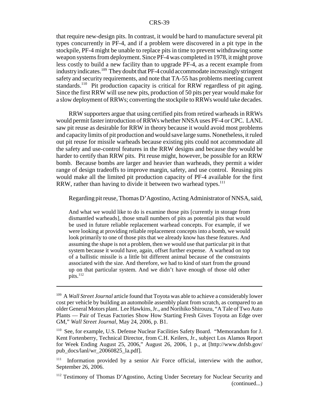that require new-design pits. In contrast, it would be hard to manufacture several pit types concurrently in PF-4, and if a problem were discovered in a pit type in the stockpile, PF-4 might be unable to replace pits in time to prevent withdrawing some weapon systems from deployment. Since PF-4 was completed in 1978, it might prove less costly to build a new facility than to upgrade PF-4, as a recent example from industry indicates.109 They doubt that PF-4 could accommodate increasingly stringent safety and security requirements, and note that TA-55 has problems meeting current standards.<sup>110</sup> Pit production capacity is critical for RRW regardless of pit aging. Since the first RRW will use new pits, production of 50 pits per year would make for a slow deployment of RRWs; converting the stockpile to RRWs would take decades.

RRW supporters argue that using certified pits from retired warheads in RRWs would permit faster introduction of RRWs whether NNSA uses PF-4 or CPC. LANL saw pit reuse as desirable for RRW in theory because it would avoid most problems and capacity limits of pit production and would save large sums. Nonetheless, it ruled out pit reuse for missile warheads because existing pits could not accommodate all the safety and use-control features in the RRW designs and because they would be harder to certify than RRW pits. Pit reuse might, however, be possible for an RRW bomb. Because bombs are larger and heavier than warheads, they permit a wider range of design tradeoffs to improve margin, safety, and use control. Reusing pits would make all the limited pit production capacity of PF-4 available for the first RRW, rather than having to divide it between two warhead types.<sup>111</sup>

Regarding pit reuse, Thomas D'Agostino, Acting Administrator of NNSA, said,

And what we would like to do is examine those pits [currently in storage from dismantled warheads], those small numbers of pits as potential pits that would be used in future reliable replacement warhead concepts. For example, if we were looking at providing reliable replacement concepts into a bomb, we would look primarily to one of those pits that we already know has these features. And assuming the shape is not a problem, then we would use that particular pit in that system because it would have, again, offset further expense. A warhead on top of a ballistic missile is a little bit different animal because of the constraints associated with the size. And therefore, we had to kind of start from the ground up on that particular system. And we didn't have enough of those old other  $\overline{\text{pits}}$ .<sup>112</sup>

<sup>109</sup> A *Wall Street Journal* article found that Toyota was able to achieve a considerably lower cost per vehicle by building an automobile assembly plant from scratch, as compared to an older General Motors plant. Lee Hawkins, Jr., and Norihiko Shirouzu, "A Tale of Two Auto Plants — Pair of Texas Factories Show How Starting Fresh Gives Toyota an Edge over GM," *Wall Street Journal,* May 24, 2006, p. B1.

<sup>110</sup> See, for example, U.S. Defense Nuclear Facilities Safety Board. "Memorandum for J. Kent Fortenberry, Technical Director, from C.H. Keilers, Jr., subject Los Alamos Report for Week Ending August 25, 2006," August 26, 2006, 1 p., at [http://www.dnfsb.gov/ pub\_docs/lanl/wr\_20060825\_la.pdf].

<sup>&</sup>lt;sup>111</sup> Information provided by a senior Air Force official, interview with the author, September 26, 2006.

<sup>&</sup>lt;sup>112</sup> Testimony of Thomas D'Agostino, Acting Under Secretary for Nuclear Security and (continued...)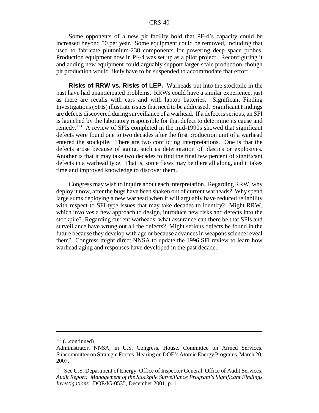Some opponents of a new pit facility hold that PF-4's capacity could be increased beyond 50 per year. Some equipment could be removed, including that used to fabricate plutonium-238 components for powering deep space probes. Production equipment now in PF-4 was set up as a pilot project. Reconfiguring it and adding new equipment could arguably support larger-scale production, though pit production would likely have to be suspended to accommodate that effort.

**Risks of RRW vs. Risks of LEP.** Warheads put into the stockpile in the past have had unanticipated problems. RRWs could have a similar experience, just as there are recalls with cars and with laptop batteries. Significant Finding Investigations (SFIs) illustrate issues that need to be addressed. Significant Findings are defects discovered during surveillance of a warhead. If a defect is serious, an SFI is launched by the laboratory responsible for that defect to determine its cause and remedy.113 A review of SFIs completed in the mid-1990s showed that significant defects were found one to two decades after the first production unit of a warhead entered the stockpile. There are two conflicting interpretations. One is that the defects arose because of aging, such as deterioration of plastics or explosives. Another is that it may take two decades to find the final few percent of significant defects in a warhead type. That is, some flaws may be there all along, and it takes time and improved knowledge to discover them.

Congress may wish to inquire about each interpretation. Regarding RRW, why deploy it now, after the bugs have been shaken out of current warheads? Why spend large sums deploying a new warhead when it will arguably have reduced reliability with respect to SFI-type issues that may take decades to identify? Might RRW, which involves a new approach to design, introduce new risks and defects into the stockpile? Regarding current warheads, what assurance can there be that SFIs and surveillance have wrung out all the defects? Might serious defects be found in the future because they develop with age or because advances in weapons science reveal them? Congress might direct NNSA to update the 1996 SFI review to learn how warhead aging and responses have developed in the past decade.

 $112$  (...continued)

Administrator, NNSA, in U.S. Congress. House. Committee on Armed Services. Subcommittee on Strategic Forces. Hearing on DOE's Atomic Energy Programs, March 20, 2007.

<sup>&</sup>lt;sup>113</sup> See U.S. Department of Energy. Office of Inspector General. Office of Audit Services. *Audit Report: Management of the Stockpile Surveillance Program's Significant Findings Investigations.* DOE/IG-0535, December 2001, p. 1.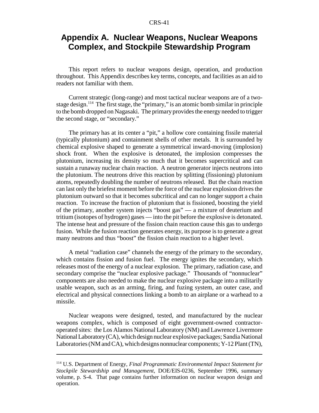## **Appendix A. Nuclear Weapons, Nuclear Weapons Complex, and Stockpile Stewardship Program**

This report refers to nuclear weapons design, operation, and production throughout. This Appendix describes key terms, concepts, and facilities as an aid to readers not familiar with them.

Current strategic (long-range) and most tactical nuclear weapons are of a twostage design.<sup>114</sup> The first stage, the "primary," is an atomic bomb similar in principle to the bomb dropped on Nagasaki. The primary provides the energy needed to trigger the second stage, or "secondary."

The primary has at its center a "pit," a hollow core containing fissile material (typically plutonium) and containment shells of other metals. It is surrounded by chemical explosive shaped to generate a symmetrical inward-moving (implosion) shock front. When the explosive is detonated, the implosion compresses the plutonium, increasing its density so much that it becomes supercritical and can sustain a runaway nuclear chain reaction. A neutron generator injects neutrons into the plutonium. The neutrons drive this reaction by splitting (fissioning) plutonium atoms, repeatedly doubling the number of neutrons released. But the chain reaction can last only the briefest moment before the force of the nuclear explosion drives the plutonium outward so that it becomes subcritical and can no longer support a chain reaction. To increase the fraction of plutonium that is fissioned, boosting the yield of the primary, another system injects "boost gas" — a mixture of deuterium and tritium (isotopes of hydrogen) gases — into the pit before the explosive is detonated. The intense heat and pressure of the fission chain reaction cause this gas to undergo fusion. While the fusion reaction generates energy, its purpose is to generate a great many neutrons and thus "boost" the fission chain reaction to a higher level.

A metal "radiation case" channels the energy of the primary to the secondary, which contains fission and fusion fuel. The energy ignites the secondary, which releases most of the energy of a nuclear explosion. The primary, radiation case, and secondary comprise the "nuclear explosive package." Thousands of "nonnuclear" components are also needed to make the nuclear explosive package into a militarily usable weapon, such as an arming, firing, and fuzing system, an outer case, and electrical and physical connections linking a bomb to an airplane or a warhead to a missile.

Nuclear weapons were designed, tested, and manufactured by the nuclear weapons complex, which is composed of eight government-owned contractoroperated sites: the Los Alamos National Laboratory (NM) and Lawrence Livermore National Laboratory (CA), which design nuclear explosive packages; Sandia National Laboratories (NM and CA), which designs nonnuclear components; Y-12 Plant (TN),

<sup>114</sup> U.S. Department of Energy, *Final Programmatic Environmental Impact Statement for Stockpile Stewardship and Management,* DOE/EIS-0236, September 1996, summary volume, p. S-4. That page contains further information on nuclear weapon design and operation.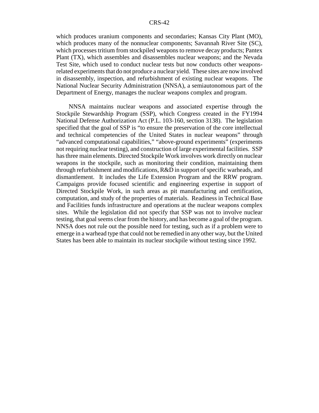which produces uranium components and secondaries; Kansas City Plant (MO), which produces many of the nonnuclear components; Savannah River Site (SC), which processes tritium from stockpiled weapons to remove decay products; Pantex Plant (TX), which assembles and disassembles nuclear weapons; and the Nevada Test Site, which used to conduct nuclear tests but now conducts other weaponsrelated experiments that do not produce a nuclear yield. These sites are now involved in disassembly, inspection, and refurbishment of existing nuclear weapons. The National Nuclear Security Administration (NNSA), a semiautonomous part of the Department of Energy, manages the nuclear weapons complex and program.

NNSA maintains nuclear weapons and associated expertise through the Stockpile Stewardship Program (SSP), which Congress created in the FY1994 National Defense Authorization Act (P.L. 103-160, section 3138). The legislation specified that the goal of SSP is "to ensure the preservation of the core intellectual and technical competencies of the United States in nuclear weapons" through "advanced computational capabilities," "above-ground experiments" (experiments not requiring nuclear testing), and construction of large experimental facilities. SSP has three main elements. Directed Stockpile Work involves work directly on nuclear weapons in the stockpile, such as monitoring their condition, maintaining them through refurbishment and modifications, R&D in support of specific warheads, and dismantlement. It includes the Life Extension Program and the RRW program. Campaigns provide focused scientific and engineering expertise in support of Directed Stockpile Work, in such areas as pit manufacturing and certification, computation, and study of the properties of materials. Readiness in Technical Base and Facilities funds infrastructure and operations at the nuclear weapons complex sites. While the legislation did not specify that SSP was not to involve nuclear testing, that goal seems clear from the history, and has become a goal of the program. NNSA does not rule out the possible need for testing, such as if a problem were to emerge in a warhead type that could not be remedied in any other way, but the United States has been able to maintain its nuclear stockpile without testing since 1992.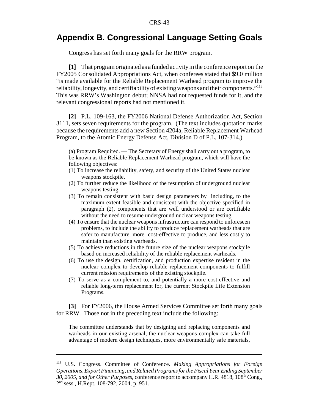## **Appendix B. Congressional Language Setting Goals**

Congress has set forth many goals for the RRW program.

**[1]** That program originated as a funded activity in the conference report on the FY2005 Consolidated Appropriations Act, when conferees stated that \$9.0 million "is made available for the Reliable Replacement Warhead program to improve the reliability, longevity, and certifiability of existing weapons and their components."115 This was RRW's Washington debut; NNSA had not requested funds for it, and the relevant congressional reports had not mentioned it.

**[2]** P.L. 109-163, the FY2006 National Defense Authorization Act, Section 3111, sets seven requirements for the program. (The text includes quotation marks because the requirements add a new Section 4204a, Reliable Replacement Warhead Program, to the Atomic Energy Defense Act, Division D of P.L. 107-314.)

(a) Program Required. — The Secretary of Energy shall carry out a program, to be known as the Reliable Replacement Warhead program, which will have the following objectives:

- (1) To increase the reliability, safety, and security of the United States nuclear weapons stockpile.
- (2) To further reduce the likelihood of the resumption of underground nuclear weapons testing.
- (3) To remain consistent with basic design parameters by including, to the maximum extent feasible and consistent with the objective specified in paragraph (2), components that are well understood or are certifiable without the need to resume underground nuclear weapons testing.
- (4) To ensure that the nuclear weapons infrastructure can respond to unforeseen problems, to include the ability to produce replacement warheads that are safer to manufacture, more cost-effective to produce, and less costly to maintain than existing warheads.
- (5) To achieve reductions in the future size of the nuclear weapons stockpile based on increased reliability of the reliable replacement warheads.
- (6) To use the design, certification, and production expertise resident in the nuclear complex to develop reliable replacement components to fulfill current mission requirements of the existing stockpile.
- (7) To serve as a complement to, and potentially a more cost-effective and reliable long-term replacement for, the current Stockpile Life Extension Programs.

**[3]** For FY2006, the House Armed Services Committee set forth many goals for RRW. Those not in the preceding text include the following:

The committee understands that by designing and replacing components and warheads in our existing arsenal, the nuclear weapons complex can take full advantage of modern design techniques, more environmentally safe materials,

<sup>115</sup> U.S. Congress. Committee of Conference. *Making Appropriations for Foreign Operations, Export Financing, and Related Programs for the Fiscal Year Ending September 30, 2005, and for Other Purposes, conference report to accompany H.R. 4818, 108<sup>th</sup> Cong.,* 2nd sess., H.Rept. 108-792, 2004, p. 951.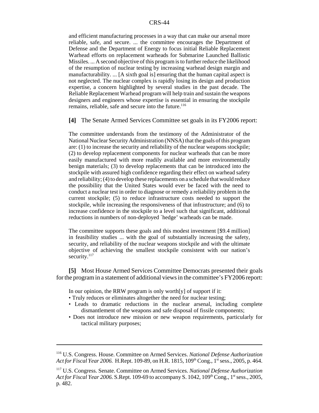and efficient manufacturing processes in a way that can make our arsenal more reliable, safe, and secure. ... the committee encourages the Department of Defense and the Department of Energy to focus initial Reliable Replacement Warhead efforts on replacement warheads for Submarine Launched Ballistic Missiles. ... A second objective of this program is to further reduce the likelihood of the resumption of nuclear testing by increasing warhead design margin and manufacturability. ... [A sixth goal is] ensuring that the human capital aspect is not neglected. The nuclear complex is rapidly losing its design and production expertise, a concern highlighted by several studies in the past decade. The Reliable Replacement Warhead program will help train and sustain the weapons designers and engineers whose expertise is essential in ensuring the stockpile remains, reliable, safe and secure into the future.<sup>116</sup>

**[4]** The Senate Armed Services Committee set goals in its FY2006 report:

The committee understands from the testimony of the Administrator of the National Nuclear Security Administration (NNSA) that the goals of this program are: (1) to increase the security and reliability of the nuclear weapons stockpile; (2) to develop replacement components for nuclear warheads that can be more easily manufactured with more readily available and more environmentally benign materials; (3) to develop replacements that can be introduced into the stockpile with assured high confidence regarding their effect on warhead safety and reliability; (4) to develop these replacements on a schedule that would reduce the possibility that the United States would ever be faced with the need to conduct a nuclear test in order to diagnose or remedy a reliability problem in the current stockpile; (5) to reduce infrastructure costs needed to support the stockpile, while increasing the responsiveness of that infrastructure; and (6) to increase confidence in the stockpile to a level such that significant, additional reductions in numbers of non-deployed `hedge' warheads can be made.

The committee supports these goals and this modest investment [\$9.4 million] in feasibility studies ... with the goal of substantially increasing the safety, security, and reliability of the nuclear weapons stockpile and with the ultimate objective of achieving the smallest stockpile consistent with our nation's security.<sup>117</sup>

**[5]** Most House Armed Services Committee Democrats presented their goals for the program in a statement of additional views in the committee's FY2006 report:

In our opinion, the RRW program is only worth $[y]$  of support if it:

- Truly reduces or eliminates altogether the need for nuclear testing;
- Leads to dramatic reductions in the nuclear arsenal, including complete dismantlement of the weapons and safe disposal of fissile components;
- Does not introduce new mission or new weapon requirements, particularly for tactical military purposes;

<sup>116</sup> U.S. Congress. House. Committee on Armed Services. *National Defense Authorization* Act for Fiscal Year 2006. H.Rept. 109-89, on H.R. 1815, 109<sup>th</sup> Cong., 1<sup>st</sup> sess., 2005, p. 464.

<sup>117</sup> U.S. Congress. Senate. Committee on Armed Services. *National Defense Authorization Act for Fiscal Year 2006.* S.Rept. 109-69 to accompany S. 1042, 109<sup>th</sup> Cong., 1<sup>st</sup> sess., 2005, p. 482.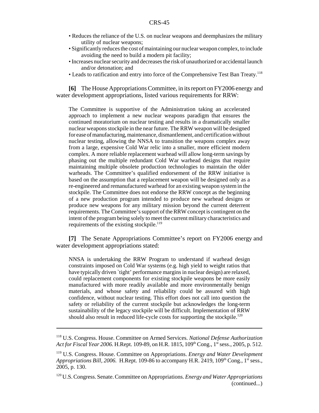- Reduces the reliance of the U.S. on nuclear weapons and deemphasizes the military utility of nuclear weapons;
- Significantly reduces the cost of maintaining our nuclear weapon complex, to include avoiding the need to build a modern pit facility;
- Increases nuclear security and decreases the risk of unauthorized or accidental launch and/or detonation; and
- Leads to ratification and entry into force of the Comprehensive Test Ban Treaty.118

**[6]** The House Appropriations Committee, in its report on FY2006 energy and water development appropriations, listed various requirements for RRW:

The Committee is supportive of the Administration taking an accelerated approach to implement a new nuclear weapons paradigm that ensures the continued moratorium on nuclear testing and results in a dramatically smaller nuclear weapons stockpile in the near future. The RRW weapon will be designed for ease of manufacturing, maintenance, dismantlement, and certification without nuclear testing, allowing the NNSA to transition the weapons complex away from a large, expensive Cold War relic into a smaller, more efficient modern complex. A more reliable replacement warhead will allow long-term savings by phasing out the multiple redundant Cold War warhead designs that require maintaining multiple obsolete production technologies to maintain the older warheads. The Committee's qualified endorsement of the RRW initiative is based on the assumption that a replacement weapon will be designed only as a re-engineered and remanufactured warhead for an existing weapon system in the stockpile. The Committee does not endorse the RRW concept as the beginning of a new production program intended to produce new warhead designs or produce new weapons for any military mission beyond the current deterrent requirements. The Committee's support of the RRW concept is contingent on the intent of the program being solely to meet the current military characteristics and requirements of the existing stockpile.<sup>119</sup>

**[7]** The Senate Appropriations Committee's report on FY2006 energy and water development appropriations stated:

NNSA is undertaking the RRW Program to understand if warhead design constraints imposed on Cold War systems (e.g. high yield to weight ratios that have typically driven `tight' performance margins in nuclear design) are relaxed, could replacement components for existing stockpile weapons be more easily manufactured with more readily available and more environmentally benign materials, and whose safety and reliability could be assured with high confidence, without nuclear testing. This effort does not call into question the safety or reliability of the current stockpile but acknowledges the long-term sustainability of the legacy stockpile will be difficult. Implementation of RRW should also result in reduced life-cycle costs for supporting the stockpile.<sup>120</sup>

<sup>118</sup> U.S. Congress. House. Committee on Armed Services. *National Defense Authorization Act for Fiscal Year 2006.* H.Rept. 109-89, on H.R. 1815, 109<sup>th</sup> Cong., 1<sup>st</sup> sess., 2005, p. 512.

<sup>119</sup> U.S. Congress. House. Committee on Appropriations. *Energy and Water Development Appropriations Bill, 2006.* H.Rept. 109-86 to accompany H.R. 2419, 109<sup>th</sup> Cong., 1<sup>st</sup> sess., 2005, p. 130.

<sup>120</sup> U.S. Congress. Senate. Committee on Appropriations. *Energy and Water Appropriations* (continued...)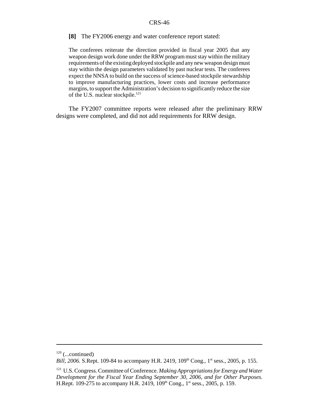#### **[8]** The FY2006 energy and water conference report stated:

The conferees reiterate the direction provided in fiscal year 2005 that any weapon design work done under the RRW program must stay within the military requirements of the existing deployed stockpile and any new weapon design must stay within the design parameters validated by past nuclear tests. The conferees expect the NNSA to build on the success of science-based stockpile stewardship to improve manufacturing practices, lower costs and increase performance margins, to support the Administration's decision to significantly reduce the size of the U.S. nuclear stockpile.<sup>121</sup>

The FY2007 committee reports were released after the preliminary RRW designs were completed, and did not add requirements for RRW design.

 $120$  (...continued)

*Bill, 2006.* S.Rept. 109-84 to accompany H.R. 2419, 109<sup>th</sup> Cong., 1<sup>st</sup> sess., 2005, p. 155.

<sup>121</sup> U.S. Congress. Committee of Conference. *Making Appropriations for Energy and Water Development for the Fiscal Year Ending September 30, 2006, and for Other Purposes.* H.Rept. 109-275 to accompany H.R. 2419, 109<sup>th</sup> Cong., 1<sup>st</sup> sess., 2005, p. 159.